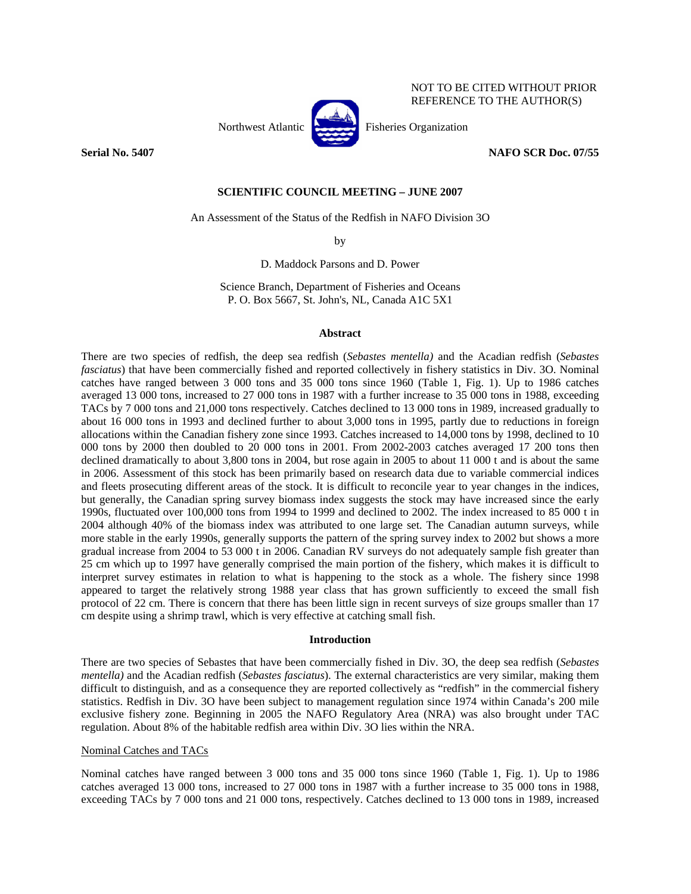

NOT TO BE CITED WITHOUT PRIOR REFERENCE TO THE AUTHOR(S)

**Serial No. 5407 NAFO SCR Doc. 07/55** 

# **SCIENTIFIC COUNCIL MEETING – JUNE 2007**

An Assessment of the Status of the Redfish in NAFO Division 3O

by

D. Maddock Parsons and D. Power

Science Branch, Department of Fisheries and Oceans P. O. Box 5667, St. John's, NL, Canada A1C 5X1

## **Abstract**

There are two species of redfish, the deep sea redfish (*Sebastes mentella)* and the Acadian redfish (*Sebastes fasciatus*) that have been commercially fished and reported collectively in fishery statistics in Div. 3O. Nominal catches have ranged between 3 000 tons and 35 000 tons since 1960 (Table 1, Fig. 1). Up to 1986 catches averaged 13 000 tons, increased to 27 000 tons in 1987 with a further increase to 35 000 tons in 1988, exceeding TACs by 7 000 tons and 21,000 tons respectively. Catches declined to 13 000 tons in 1989, increased gradually to about 16 000 tons in 1993 and declined further to about 3,000 tons in 1995, partly due to reductions in foreign allocations within the Canadian fishery zone since 1993. Catches increased to 14,000 tons by 1998, declined to 10 000 tons by 2000 then doubled to 20 000 tons in 2001. From 2002-2003 catches averaged 17 200 tons then declined dramatically to about 3,800 tons in 2004, but rose again in 2005 to about 11 000 t and is about the same in 2006. Assessment of this stock has been primarily based on research data due to variable commercial indices and fleets prosecuting different areas of the stock. It is difficult to reconcile year to year changes in the indices, but generally, the Canadian spring survey biomass index suggests the stock may have increased since the early 1990s, fluctuated over 100,000 tons from 1994 to 1999 and declined to 2002. The index increased to 85 000 t in 2004 although 40% of the biomass index was attributed to one large set. The Canadian autumn surveys, while more stable in the early 1990s, generally supports the pattern of the spring survey index to 2002 but shows a more gradual increase from 2004 to 53 000 t in 2006. Canadian RV surveys do not adequately sample fish greater than 25 cm which up to 1997 have generally comprised the main portion of the fishery, which makes it is difficult to interpret survey estimates in relation to what is happening to the stock as a whole. The fishery since 1998 appeared to target the relatively strong 1988 year class that has grown sufficiently to exceed the small fish protocol of 22 cm. There is concern that there has been little sign in recent surveys of size groups smaller than 17 cm despite using a shrimp trawl, which is very effective at catching small fish.

# **Introduction**

There are two species of Sebastes that have been commercially fished in Div. 3O, the deep sea redfish (*Sebastes mentella)* and the Acadian redfish (*Sebastes fasciatus*). The external characteristics are very similar, making them difficult to distinguish, and as a consequence they are reported collectively as "redfish" in the commercial fishery statistics. Redfish in Div. 3O have been subject to management regulation since 1974 within Canada's 200 mile exclusive fishery zone. Beginning in 2005 the NAFO Regulatory Area (NRA) was also brought under TAC regulation. About 8% of the habitable redfish area within Div. 3O lies within the NRA.

# Nominal Catches and TACs

Nominal catches have ranged between 3 000 tons and 35 000 tons since 1960 (Table 1, Fig. 1). Up to 1986 catches averaged 13 000 tons, increased to 27 000 tons in 1987 with a further increase to 35 000 tons in 1988, exceeding TACs by 7 000 tons and 21 000 tons, respectively. Catches declined to 13 000 tons in 1989, increased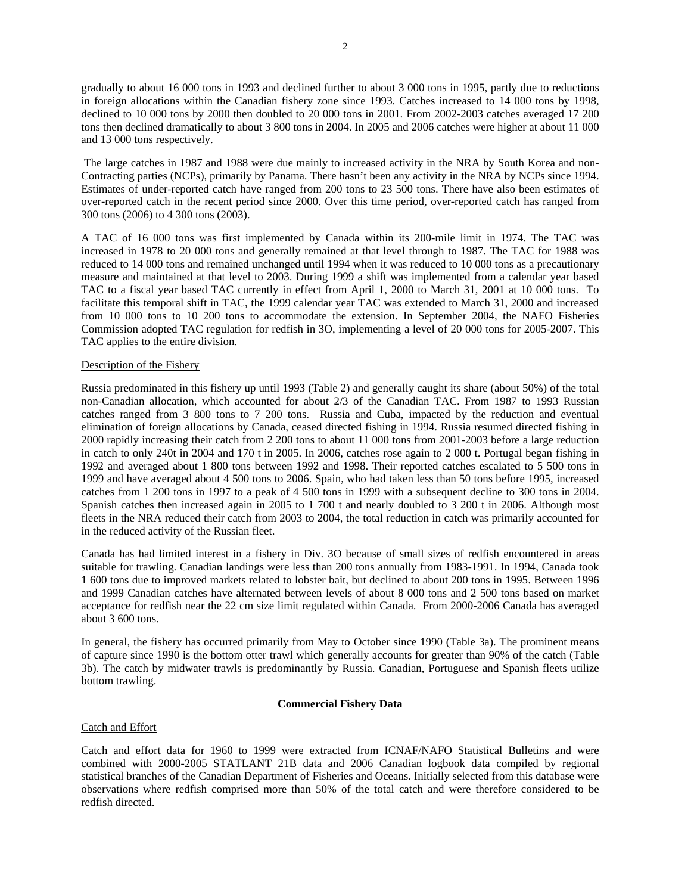gradually to about 16 000 tons in 1993 and declined further to about 3 000 tons in 1995, partly due to reductions in foreign allocations within the Canadian fishery zone since 1993. Catches increased to 14 000 tons by 1998, declined to 10 000 tons by 2000 then doubled to 20 000 tons in 2001. From 2002-2003 catches averaged 17 200 tons then declined dramatically to about 3 800 tons in 2004. In 2005 and 2006 catches were higher at about 11 000 and 13 000 tons respectively.

 The large catches in 1987 and 1988 were due mainly to increased activity in the NRA by South Korea and non-Contracting parties (NCPs), primarily by Panama. There hasn't been any activity in the NRA by NCPs since 1994. Estimates of under-reported catch have ranged from 200 tons to 23 500 tons. There have also been estimates of over-reported catch in the recent period since 2000. Over this time period, over-reported catch has ranged from 300 tons (2006) to 4 300 tons (2003).

A TAC of 16 000 tons was first implemented by Canada within its 200-mile limit in 1974. The TAC was increased in 1978 to 20 000 tons and generally remained at that level through to 1987. The TAC for 1988 was reduced to 14 000 tons and remained unchanged until 1994 when it was reduced to 10 000 tons as a precautionary measure and maintained at that level to 2003. During 1999 a shift was implemented from a calendar year based TAC to a fiscal year based TAC currently in effect from April 1, 2000 to March 31, 2001 at 10 000 tons. To facilitate this temporal shift in TAC, the 1999 calendar year TAC was extended to March 31, 2000 and increased from 10 000 tons to 10 200 tons to accommodate the extension. In September 2004, the NAFO Fisheries Commission adopted TAC regulation for redfish in 3O, implementing a level of 20 000 tons for 2005-2007. This TAC applies to the entire division.

## Description of the Fishery

Russia predominated in this fishery up until 1993 (Table 2) and generally caught its share (about 50%) of the total non-Canadian allocation, which accounted for about 2/3 of the Canadian TAC. From 1987 to 1993 Russian catches ranged from 3 800 tons to 7 200 tons. Russia and Cuba, impacted by the reduction and eventual elimination of foreign allocations by Canada, ceased directed fishing in 1994. Russia resumed directed fishing in 2000 rapidly increasing their catch from 2 200 tons to about 11 000 tons from 2001-2003 before a large reduction in catch to only 240t in 2004 and 170 t in 2005. In 2006, catches rose again to 2 000 t. Portugal began fishing in 1992 and averaged about 1 800 tons between 1992 and 1998. Their reported catches escalated to 5 500 tons in 1999 and have averaged about 4 500 tons to 2006. Spain, who had taken less than 50 tons before 1995, increased catches from 1 200 tons in 1997 to a peak of 4 500 tons in 1999 with a subsequent decline to 300 tons in 2004. Spanish catches then increased again in 2005 to 1 700 t and nearly doubled to 3 200 t in 2006. Although most fleets in the NRA reduced their catch from 2003 to 2004, the total reduction in catch was primarily accounted for in the reduced activity of the Russian fleet.

Canada has had limited interest in a fishery in Div. 3O because of small sizes of redfish encountered in areas suitable for trawling. Canadian landings were less than 200 tons annually from 1983-1991. In 1994, Canada took 1 600 tons due to improved markets related to lobster bait, but declined to about 200 tons in 1995. Between 1996 and 1999 Canadian catches have alternated between levels of about 8 000 tons and 2 500 tons based on market acceptance for redfish near the 22 cm size limit regulated within Canada. From 2000-2006 Canada has averaged about 3 600 tons.

In general, the fishery has occurred primarily from May to October since 1990 (Table 3a). The prominent means of capture since 1990 is the bottom otter trawl which generally accounts for greater than 90% of the catch (Table 3b). The catch by midwater trawls is predominantly by Russia. Canadian, Portuguese and Spanish fleets utilize bottom trawling.

## **Commercial Fishery Data**

### Catch and Effort

Catch and effort data for 1960 to 1999 were extracted from ICNAF/NAFO Statistical Bulletins and were combined with 2000-2005 STATLANT 21B data and 2006 Canadian logbook data compiled by regional statistical branches of the Canadian Department of Fisheries and Oceans. Initially selected from this database were observations where redfish comprised more than 50% of the total catch and were therefore considered to be redfish directed.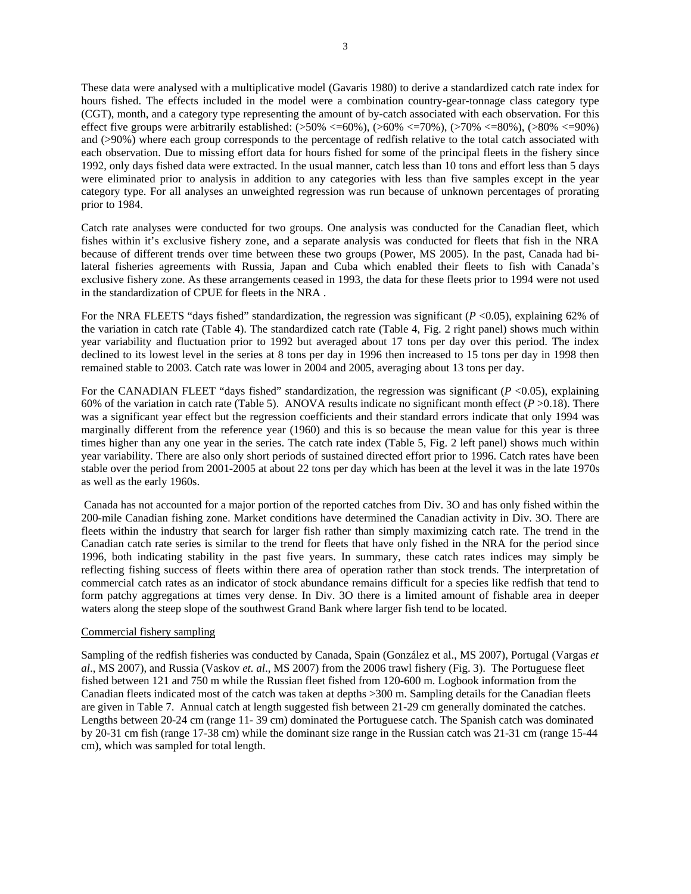These data were analysed with a multiplicative model (Gavaris 1980) to derive a standardized catch rate index for hours fished. The effects included in the model were a combination country-gear-tonnage class category type (CGT), month, and a category type representing the amount of by-catch associated with each observation. For this effect five groups were arbitrarily established:  $(>50\% < =60\%)$ ,  $(>60\% < =70\%)$ ,  $(>70\% < =80\%)$ ,  $(>80\% < =90\%)$ and (>90%) where each group corresponds to the percentage of redfish relative to the total catch associated with each observation. Due to missing effort data for hours fished for some of the principal fleets in the fishery since 1992, only days fished data were extracted. In the usual manner, catch less than 10 tons and effort less than 5 days were eliminated prior to analysis in addition to any categories with less than five samples except in the year category type. For all analyses an unweighted regression was run because of unknown percentages of prorating prior to 1984.

Catch rate analyses were conducted for two groups. One analysis was conducted for the Canadian fleet, which fishes within it's exclusive fishery zone, and a separate analysis was conducted for fleets that fish in the NRA because of different trends over time between these two groups (Power, MS 2005). In the past, Canada had bilateral fisheries agreements with Russia, Japan and Cuba which enabled their fleets to fish with Canada's exclusive fishery zone. As these arrangements ceased in 1993, the data for these fleets prior to 1994 were not used in the standardization of CPUE for fleets in the NRA .

For the NRA FLEETS "days fished" standardization, the regression was significant ( $P$  <0.05), explaining 62% of the variation in catch rate (Table 4). The standardized catch rate (Table 4, Fig. 2 right panel) shows much within year variability and fluctuation prior to 1992 but averaged about 17 tons per day over this period. The index declined to its lowest level in the series at 8 tons per day in 1996 then increased to 15 tons per day in 1998 then remained stable to 2003. Catch rate was lower in 2004 and 2005, averaging about 13 tons per day.

For the CANADIAN FLEET "days fished" standardization, the regression was significant (*P* <0.05), explaining 60% of the variation in catch rate (Table 5). ANOVA results indicate no significant month effect  $(P > 0.18)$ . There was a significant year effect but the regression coefficients and their standard errors indicate that only 1994 was marginally different from the reference year (1960) and this is so because the mean value for this year is three times higher than any one year in the series. The catch rate index (Table 5, Fig. 2 left panel) shows much within year variability. There are also only short periods of sustained directed effort prior to 1996. Catch rates have been stable over the period from 2001-2005 at about 22 tons per day which has been at the level it was in the late 1970s as well as the early 1960s.

 Canada has not accounted for a major portion of the reported catches from Div. 3O and has only fished within the 200-mile Canadian fishing zone. Market conditions have determined the Canadian activity in Div. 3O. There are fleets within the industry that search for larger fish rather than simply maximizing catch rate. The trend in the Canadian catch rate series is similar to the trend for fleets that have only fished in the NRA for the period since 1996, both indicating stability in the past five years. In summary, these catch rates indices may simply be reflecting fishing success of fleets within there area of operation rather than stock trends. The interpretation of commercial catch rates as an indicator of stock abundance remains difficult for a species like redfish that tend to form patchy aggregations at times very dense. In Div. 3O there is a limited amount of fishable area in deeper waters along the steep slope of the southwest Grand Bank where larger fish tend to be located.

## Commercial fishery sampling

Sampling of the redfish fisheries was conducted by Canada, Spain (González et al., MS 2007), Portugal (Vargas *et al*., MS 2007), and Russia (Vaskov *et. al*., MS 2007) from the 2006 trawl fishery (Fig. 3). The Portuguese fleet fished between 121 and 750 m while the Russian fleet fished from 120-600 m. Logbook information from the Canadian fleets indicated most of the catch was taken at depths >300 m. Sampling details for the Canadian fleets are given in Table 7. Annual catch at length suggested fish between 21-29 cm generally dominated the catches. Lengths between 20-24 cm (range 11- 39 cm) dominated the Portuguese catch. The Spanish catch was dominated by 20-31 cm fish (range 17-38 cm) while the dominant size range in the Russian catch was 21-31 cm (range 15-44 cm), which was sampled for total length.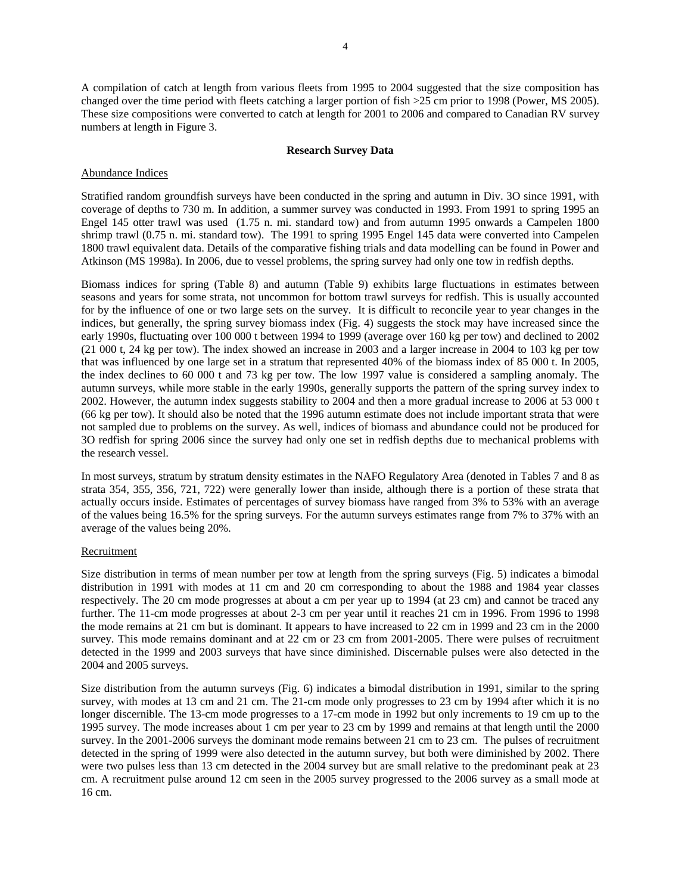A compilation of catch at length from various fleets from 1995 to 2004 suggested that the size composition has changed over the time period with fleets catching a larger portion of fish >25 cm prior to 1998 (Power, MS 2005). These size compositions were converted to catch at length for 2001 to 2006 and compared to Canadian RV survey numbers at length in Figure 3.

# **Research Survey Data**

# Abundance Indices

Stratified random groundfish surveys have been conducted in the spring and autumn in Div. 3O since 1991, with coverage of depths to 730 m. In addition, a summer survey was conducted in 1993. From 1991 to spring 1995 an Engel 145 otter trawl was used (1.75 n. mi. standard tow) and from autumn 1995 onwards a Campelen 1800 shrimp trawl (0.75 n. mi. standard tow). The 1991 to spring 1995 Engel 145 data were converted into Campelen 1800 trawl equivalent data. Details of the comparative fishing trials and data modelling can be found in Power and Atkinson (MS 1998a). In 2006, due to vessel problems, the spring survey had only one tow in redfish depths.

Biomass indices for spring (Table 8) and autumn (Table 9) exhibits large fluctuations in estimates between seasons and years for some strata, not uncommon for bottom trawl surveys for redfish. This is usually accounted for by the influence of one or two large sets on the survey. It is difficult to reconcile year to year changes in the indices, but generally, the spring survey biomass index (Fig. 4) suggests the stock may have increased since the early 1990s, fluctuating over 100 000 t between 1994 to 1999 (average over 160 kg per tow) and declined to 2002 (21 000 t, 24 kg per tow). The index showed an increase in 2003 and a larger increase in 2004 to 103 kg per tow that was influenced by one large set in a stratum that represented 40% of the biomass index of 85 000 t. In 2005, the index declines to 60 000 t and 73 kg per tow. The low 1997 value is considered a sampling anomaly. The autumn surveys, while more stable in the early 1990s, generally supports the pattern of the spring survey index to 2002. However, the autumn index suggests stability to 2004 and then a more gradual increase to 2006 at 53 000 t (66 kg per tow). It should also be noted that the 1996 autumn estimate does not include important strata that were not sampled due to problems on the survey. As well, indices of biomass and abundance could not be produced for 3O redfish for spring 2006 since the survey had only one set in redfish depths due to mechanical problems with the research vessel.

In most surveys, stratum by stratum density estimates in the NAFO Regulatory Area (denoted in Tables 7 and 8 as strata 354, 355, 356, 721, 722) were generally lower than inside, although there is a portion of these strata that actually occurs inside. Estimates of percentages of survey biomass have ranged from 3% to 53% with an average of the values being 16.5% for the spring surveys. For the autumn surveys estimates range from 7% to 37% with an average of the values being 20%.

## Recruitment

Size distribution in terms of mean number per tow at length from the spring surveys (Fig. 5) indicates a bimodal distribution in 1991 with modes at 11 cm and 20 cm corresponding to about the 1988 and 1984 year classes respectively. The 20 cm mode progresses at about a cm per year up to 1994 (at 23 cm) and cannot be traced any further. The 11-cm mode progresses at about 2-3 cm per year until it reaches 21 cm in 1996. From 1996 to 1998 the mode remains at 21 cm but is dominant. It appears to have increased to 22 cm in 1999 and 23 cm in the 2000 survey. This mode remains dominant and at 22 cm or 23 cm from 2001-2005. There were pulses of recruitment detected in the 1999 and 2003 surveys that have since diminished. Discernable pulses were also detected in the 2004 and 2005 surveys.

Size distribution from the autumn surveys (Fig. 6) indicates a bimodal distribution in 1991, similar to the spring survey, with modes at 13 cm and 21 cm. The 21-cm mode only progresses to 23 cm by 1994 after which it is no longer discernible. The 13-cm mode progresses to a 17-cm mode in 1992 but only increments to 19 cm up to the 1995 survey. The mode increases about 1 cm per year to 23 cm by 1999 and remains at that length until the 2000 survey. In the 2001-2006 surveys the dominant mode remains between 21 cm to 23 cm. The pulses of recruitment detected in the spring of 1999 were also detected in the autumn survey, but both were diminished by 2002. There were two pulses less than 13 cm detected in the 2004 survey but are small relative to the predominant peak at 23 cm. A recruitment pulse around 12 cm seen in the 2005 survey progressed to the 2006 survey as a small mode at 16 cm.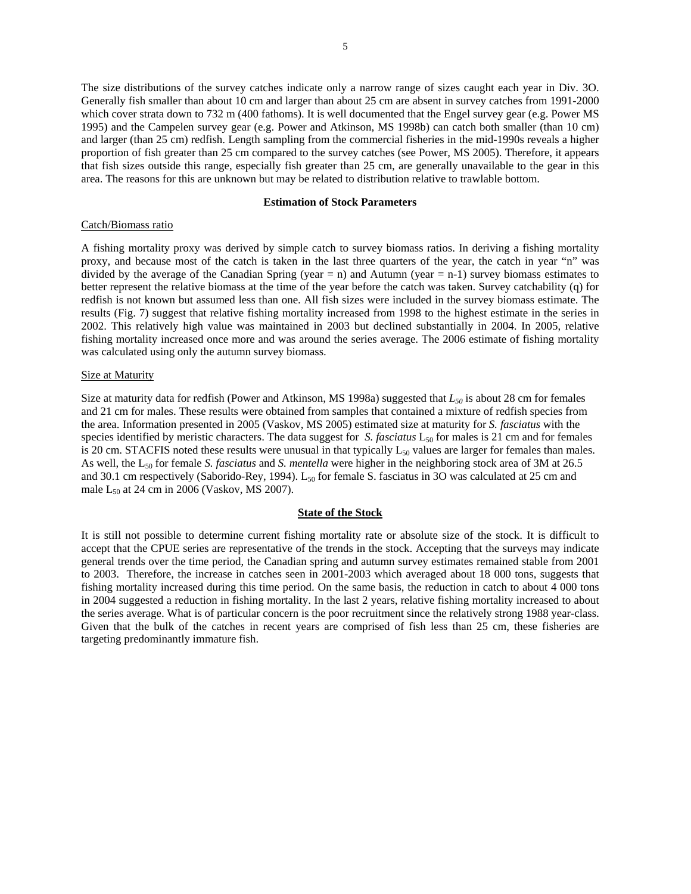The size distributions of the survey catches indicate only a narrow range of sizes caught each year in Div. 3O. Generally fish smaller than about 10 cm and larger than about 25 cm are absent in survey catches from 1991-2000 which cover strata down to 732 m (400 fathoms). It is well documented that the Engel survey gear (e.g. Power MS 1995) and the Campelen survey gear (e.g. Power and Atkinson, MS 1998b) can catch both smaller (than 10 cm) and larger (than 25 cm) redfish. Length sampling from the commercial fisheries in the mid-1990s reveals a higher proportion of fish greater than 25 cm compared to the survey catches (see Power, MS 2005). Therefore, it appears that fish sizes outside this range, especially fish greater than 25 cm, are generally unavailable to the gear in this area. The reasons for this are unknown but may be related to distribution relative to trawlable bottom.

#### **Estimation of Stock Parameters**

#### Catch/Biomass ratio

A fishing mortality proxy was derived by simple catch to survey biomass ratios. In deriving a fishing mortality proxy, and because most of the catch is taken in the last three quarters of the year, the catch in year "n" was divided by the average of the Canadian Spring (year = n) and Autumn (year = n-1) survey biomass estimates to better represent the relative biomass at the time of the year before the catch was taken. Survey catchability (q) for redfish is not known but assumed less than one. All fish sizes were included in the survey biomass estimate. The results (Fig. 7) suggest that relative fishing mortality increased from 1998 to the highest estimate in the series in 2002. This relatively high value was maintained in 2003 but declined substantially in 2004. In 2005, relative fishing mortality increased once more and was around the series average. The 2006 estimate of fishing mortality was calculated using only the autumn survey biomass.

## **Size at Maturity**

Size at maturity data for redfish (Power and Atkinson, MS 1998a) suggested that  $L_{50}$  is about 28 cm for females and 21 cm for males. These results were obtained from samples that contained a mixture of redfish species from the area. Information presented in 2005 (Vaskov, MS 2005) estimated size at maturity for *S. fasciatus* with the species identified by meristic characters. The data suggest for *S. fasciatus*  $L_{50}$  for males is 21 cm and for females is 20 cm. STACFIS noted these results were unusual in that typically  $L_{50}$  values are larger for females than males. As well, the L50 for female *S. fasciatus* and *S. mentella* were higher in the neighboring stock area of 3M at 26.5 and 30.1 cm respectively (Saborido-Rey, 1994).  $L_{50}$  for female S. fasciatus in 3O was calculated at 25 cm and male  $L_{50}$  at 24 cm in 2006 (Vaskov, MS 2007).

## **State of the Stock**

It is still not possible to determine current fishing mortality rate or absolute size of the stock. It is difficult to accept that the CPUE series are representative of the trends in the stock. Accepting that the surveys may indicate general trends over the time period, the Canadian spring and autumn survey estimates remained stable from 2001 to 2003. Therefore, the increase in catches seen in 2001-2003 which averaged about 18 000 tons, suggests that fishing mortality increased during this time period. On the same basis, the reduction in catch to about 4 000 tons in 2004 suggested a reduction in fishing mortality. In the last 2 years, relative fishing mortality increased to about the series average. What is of particular concern is the poor recruitment since the relatively strong 1988 year-class. Given that the bulk of the catches in recent years are comprised of fish less than 25 cm, these fisheries are targeting predominantly immature fish.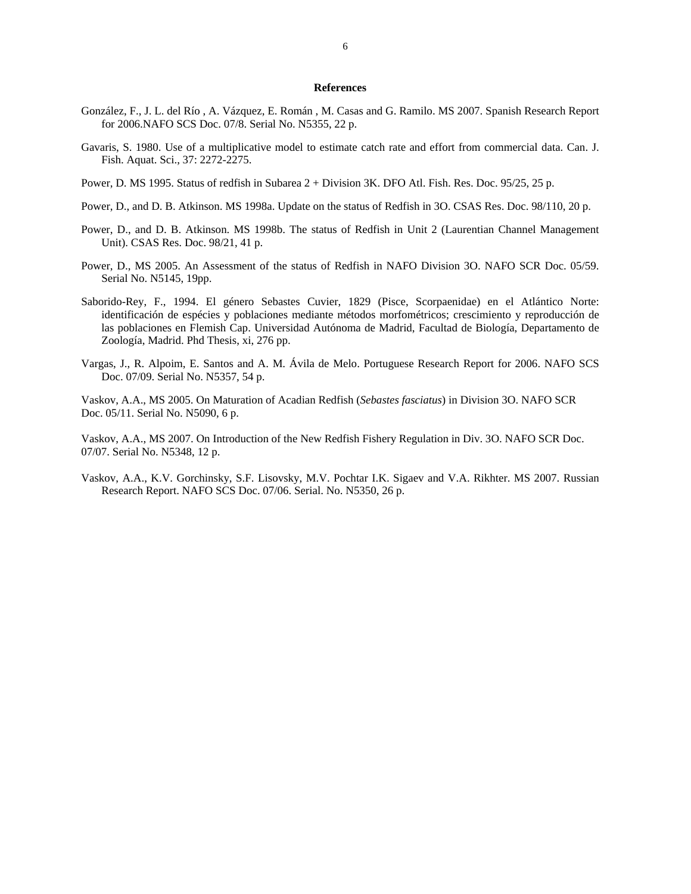## **References**

- González, F., J. L. del Río , A. Vázquez, E. Román , M. Casas and G. Ramilo. MS 2007. Spanish Research Report for 2006.NAFO SCS Doc. 07/8. Serial No. N5355, 22 p.
- Gavaris, S. 1980. Use of a multiplicative model to estimate catch rate and effort from commercial data. Can. J. Fish. Aquat. Sci., 37: 2272-2275.
- Power, D. MS 1995. Status of redfish in Subarea 2 + Division 3K. DFO Atl. Fish. Res. Doc. 95/25, 25 p.
- Power, D., and D. B. Atkinson. MS 1998a. Update on the status of Redfish in 3O. CSAS Res. Doc. 98/110, 20 p.
- Power, D., and D. B. Atkinson. MS 1998b. The status of Redfish in Unit 2 (Laurentian Channel Management Unit). CSAS Res. Doc. 98/21, 41 p.
- Power, D., MS 2005. An Assessment of the status of Redfish in NAFO Division 3O. NAFO SCR Doc. 05/59. Serial No. N5145, 19pp.
- Saborido-Rey, F., 1994. El género Sebastes Cuvier, 1829 (Pisce, Scorpaenidae) en el Atlántico Norte: identificación de espécies y poblaciones mediante métodos morfométricos; crescimiento y reproducción de las poblaciones en Flemish Cap. Universidad Autónoma de Madrid, Facultad de Biología, Departamento de Zoología, Madrid. Phd Thesis, xi, 276 pp.
- Vargas, J., R. Alpoim, E. Santos and A. M. Ávila de Melo. Portuguese Research Report for 2006. NAFO SCS Doc. 07/09. Serial No. N5357, 54 p.

Vaskov, A.A., MS 2005. On Maturation of Acadian Redfish (*Sebastes fasciatus*) in Division 3O. NAFO SCR Doc. 05/11. Serial No. N5090, 6 p.

Vaskov, A.A., MS 2007. On Introduction of the New Redfish Fishery Regulation in Div. 3O. NAFO SCR Doc. 07/07. Serial No. N5348, 12 p.

Vaskov, A.A., K.V. Gorchinsky, S.F. Lisovsky, M.V. Pochtar I.K. Sigaev and V.A. Rikhter. MS 2007. Russian Research Report. NAFO SCS Doc. 07/06. Serial. No. N5350, 26 p.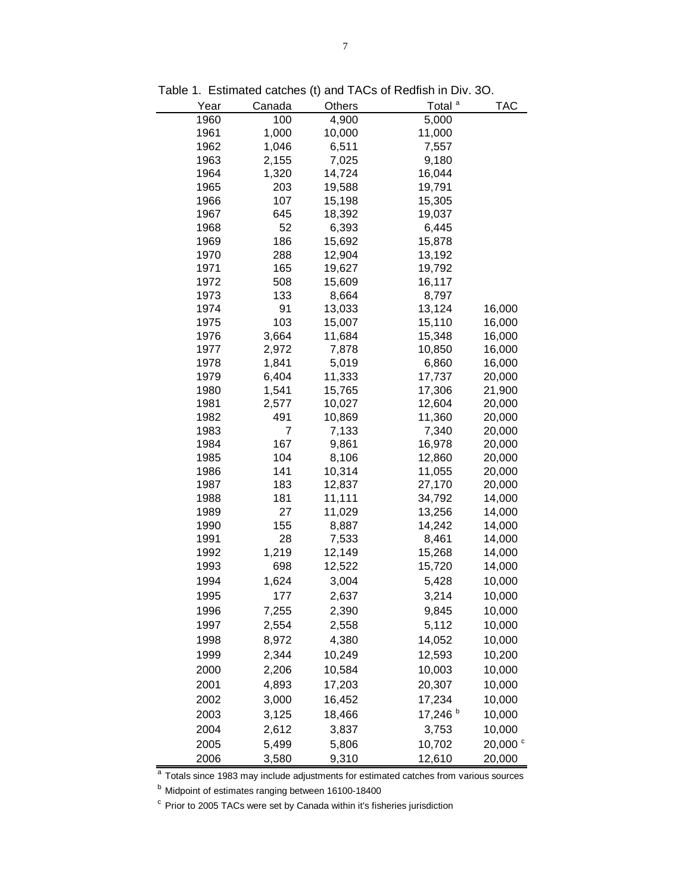| Year         | Canada         | Others          | Total <sup>a</sup>  | <b>TAC</b>       |
|--------------|----------------|-----------------|---------------------|------------------|
| 1960         | 100            | 4,900           | 5,000               |                  |
| 1961         | 1,000          | 10,000          | 11,000              |                  |
| 1962         | 1,046          | 6,511           | 7,557               |                  |
| 1963         | 2,155          | 7,025           | 9,180               |                  |
| 1964         | 1,320          | 14,724          | 16,044              |                  |
| 1965         | 203            | 19,588          | 19,791              |                  |
| 1966         | 107            | 15,198          | 15,305              |                  |
| 1967         | 645            | 18,392          | 19,037              |                  |
| 1968         | 52             | 6,393           | 6,445               |                  |
| 1969         | 186            | 15,692          | 15,878              |                  |
| 1970         | 288            | 12,904          | 13,192              |                  |
| 1971         | 165            | 19,627          | 19,792              |                  |
| 1972         | 508            | 15,609          | 16,117              |                  |
| 1973         | 133            | 8,664           | 8,797               |                  |
| 1974         | 91             | 13,033          | 13,124              | 16,000           |
| 1975         | 103            | 15,007          | 15,110              | 16,000           |
| 1976         | 3,664          | 11,684          | 15,348              | 16,000           |
| 1977<br>1978 | 2,972          | 7,878           | 10,850              | 16,000           |
| 1979         | 1,841<br>6,404 | 5,019<br>11,333 | 6,860               | 16,000<br>20,000 |
| 1980         | 1,541          | 15,765          | 17,737<br>17,306    | 21,900           |
| 1981         | 2,577          | 10,027          | 12,604              | 20,000           |
| 1982         | 491            | 10,869          | 11,360              | 20,000           |
| 1983         | 7              | 7,133           | 7,340               | 20,000           |
| 1984         | 167            | 9,861           | 16,978              | 20,000           |
| 1985         | 104            | 8,106           | 12,860              | 20,000           |
| 1986         | 141            | 10,314          | 11,055              | 20,000           |
| 1987         | 183            | 12,837          | 27,170              | 20,000           |
| 1988         | 181            | 11,111          | 34,792              | 14,000           |
| 1989         | 27             | 11,029          | 13,256              | 14,000           |
| 1990         | 155            | 8,887           | 14,242              | 14,000           |
| 1991         | 28             | 7,533           | 8,461               | 14,000           |
| 1992         | 1,219          | 12,149          | 15,268              | 14,000           |
| 1993         | 698            | 12,522          | 15,720              | 14,000           |
| 1994         | 1,624          | 3,004           | 5,428               | 10,000           |
| 1995         | 177            | 2,637           | 3,214               | 10,000           |
| 1996         | 7,255          | 2,390           | 9,845               | 10,000           |
| 1997         | 2,554          | 2,558           | 5,112               | 10,000           |
| 1998         | 8,972          | 4,380           | 14,052              | 10,000           |
| 1999         | 2,344          | 10,249          | 12,593              | 10,200           |
| 2000         | 2,206          | 10,584          | 10,003              | 10,000           |
| 2001         | 4,893          | 17,203          | 20,307              | 10,000           |
|              |                |                 |                     |                  |
| 2002         | 3,000          | 16,452          | 17,234              | 10,000           |
| 2003         | 3,125          | 18,466          | 17,246 <sup>b</sup> | 10,000           |
| 2004         | 2,612          | 3,837           | 3,753               | 10,000           |
| 2005         | 5,499          | 5,806           | 10,702              | 20,000 °         |
| 2006         | 3,580          | 9,310           | 12,610              | 20,000           |

Table 1. Estimated catches (t) and TACs of Redfish in Div. 3O.

<sup>a</sup> Totals since 1983 may include adjustments for estimated catches from various sources

<sup>b</sup> Midpoint of estimates ranging between 16100-18400

<sup>c</sup> Prior to 2005 TACs were set by Canada within it's fisheries jurisdiction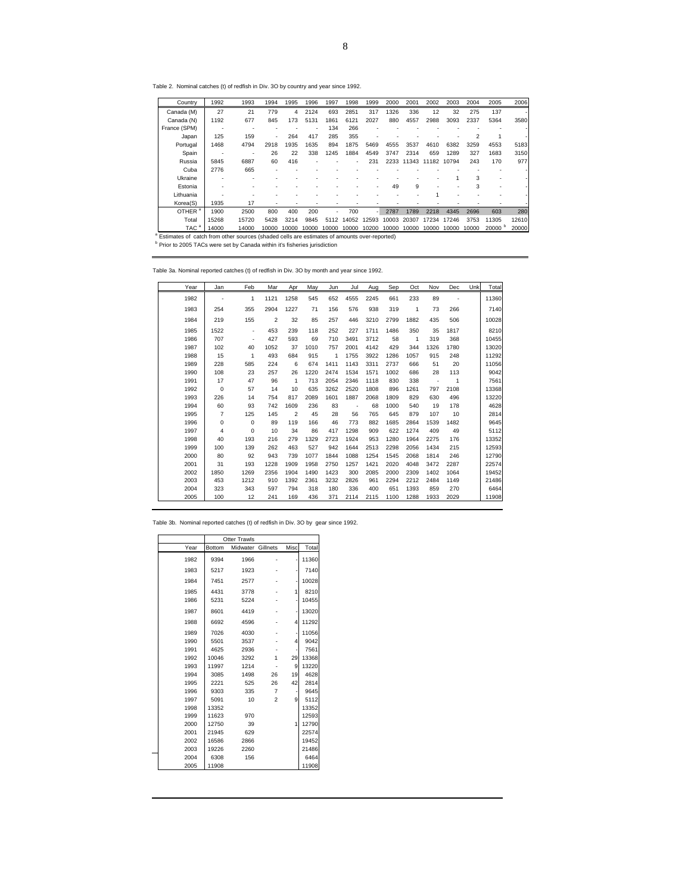Table 2. Nominal catches (t) of redfish in Div. 3O by country and year since 1992.

| Country                                                                                     | 1992  | 1993  | 1994                     | 1995  | 1996                     | 1997  | 1998           | 1999        | 2000  | 2001                   | 2002  | 2003  | 2004           | 2005  | 2006                     |
|---------------------------------------------------------------------------------------------|-------|-------|--------------------------|-------|--------------------------|-------|----------------|-------------|-------|------------------------|-------|-------|----------------|-------|--------------------------|
| Canada (M)                                                                                  | 27    | 21    | 779                      | 4     | 2124                     | 693   | 2851           | 317         | 1326  | 336                    | 12    | 32    | 275            | 137   | $\overline{\phantom{a}}$ |
| Canada (N)                                                                                  | 1192  | 677   | 845                      | 173   | 5131                     | 1861  | 6121           | 2027        | 880   | 4557                   | 2988  | 3093  | 2337           | 5364  | 3580                     |
| France (SPM)                                                                                |       |       |                          |       | $\overline{\phantom{a}}$ | 134   | 266            |             |       |                        |       |       |                |       | $\overline{\phantom{a}}$ |
| Japan                                                                                       | 125   | 159   | $\overline{\phantom{0}}$ | 264   | 417                      | 285   | 355            |             |       |                        |       |       | $\mathfrak{p}$ |       | $\overline{\phantom{a}}$ |
| Portugal                                                                                    | 1468  | 4794  | 2918                     | 1935  | 1635                     | 894   | 1875           | 5469        | 4555  | 3537                   | 4610  | 6382  | 3259           | 4553  | 5183                     |
| Spain                                                                                       |       |       | 26                       | 22    | 338                      | 1245  | 1884           | 4549        | 3747  | 2314                   | 659   | 1289  | 327            | 1683  | 3150                     |
| Russia                                                                                      | 5845  | 6887  | 60                       | 416   |                          |       | $\overline{a}$ | 231         |       | 2233 11343 11182 10794 |       |       | 243            | 170   | 977                      |
| Cuba                                                                                        | 2776  | 665   |                          |       |                          |       |                |             |       |                        |       |       |                |       |                          |
| Ukraine                                                                                     |       |       |                          |       |                          |       |                |             |       |                        |       |       | 3              |       | $\overline{\phantom{a}}$ |
| Estonia                                                                                     |       |       |                          |       |                          |       |                |             | 49    | 9                      |       |       | 3              |       |                          |
| Lithuania                                                                                   |       |       |                          |       |                          |       |                |             |       |                        |       |       |                |       |                          |
| Korea(S)                                                                                    | 1935  | 17    |                          |       |                          |       |                |             |       |                        |       |       |                |       |                          |
| OTHER <sup>a</sup>                                                                          | 1900  | 2500  | 800                      | 400   | 200                      | ÷,    | 700            |             | 2787  | 1789                   | 2218  | 4345  | 2696           | 603   | 280                      |
| Total                                                                                       | 15268 | 15720 | 5428                     | 3214  | 9845                     | 5112  |                | 14052 12593 | 10003 | 20307                  | 17234 | 17246 | 3753           | 11305 | 12610                    |
| TAC <sup>a</sup>                                                                            | 14000 | 14000 | 10000                    | 10000 | 10000                    | 10000 | 10000          | 10200       | 10000 | 10000                  | 10000 | 10000 | 10000          | 20000 | 20000                    |
| Estimates of catch from other sources (shaded cells are estimates of amounts over-reported) |       |       |                          |       |                          |       |                |             |       |                        |       |       |                |       |                          |
| <sup>b</sup> Prior to 2005 TACs were set by Canada within it's fisheries jurisdiction       |       |       |                          |       |                          |       |                |             |       |                        |       |       |                |       |                          |

Table 3a. Nominal reported catches (t) of redfish in Div. 3O by month and year since 1992.

| Year | Jan            | Feb                          | Mar                     | Apr            | May  | Jun  | Jul  | Aug  | Sep  | Oct  | Nov                      | Dec            | Unk | Total |
|------|----------------|------------------------------|-------------------------|----------------|------|------|------|------|------|------|--------------------------|----------------|-----|-------|
| 1982 |                | 1                            | 1121                    | 1258           | 545  | 652  | 4555 | 2245 | 661  | 233  | 89                       |                |     | 11360 |
| 1983 | 254            | 355                          | 2904                    | 1227           | 71   | 156  | 576  | 938  | 319  | 1    | 73                       | 266            |     | 7140  |
| 1984 | 219            | 155                          | $\overline{\mathbf{c}}$ | 32             | 85   | 257  | 446  | 3210 | 2799 | 1882 | 435                      | 506            |     | 10028 |
| 1985 | 1522           | $\qquad \qquad \blacksquare$ | 453                     | 239            | 118  | 252  | 227  | 1711 | 1486 | 350  | 35                       | 1817           |     | 8210  |
| 1986 | 707            | ۰                            | 427                     | 593            | 69   | 710  | 3491 | 3712 | 58   | 1    | 319                      | 368            |     | 10455 |
| 1987 | 102            | 40                           | 1052                    | 37             | 1010 | 757  | 2001 | 4142 | 429  | 344  | 1326                     | 1780           |     | 13020 |
| 1988 | 15             | 1                            | 493                     | 684            | 915  | 1    | 1755 | 3922 | 1286 | 1057 | 915                      | 248            |     | 11292 |
| 1989 | 228            | 585                          | 224                     | 6              | 674  | 1411 | 1143 | 3311 | 2737 | 666  | 51                       | 20             |     | 11056 |
| 1990 | 108            | 23                           | 257                     | 26             | 1220 | 2474 | 1534 | 1571 | 1002 | 686  | 28                       | 113            |     | 9042  |
| 1991 | 17             | 47                           | 96                      | $\mathbf{1}$   | 713  | 2054 | 2346 | 1118 | 830  | 338  | $\overline{\phantom{a}}$ | $\overline{1}$ |     | 7561  |
| 1992 | $\mathbf 0$    | 57                           | 14                      | 10             | 635  | 3262 | 2520 | 1808 | 896  | 1261 | 797                      | 2108           |     | 13368 |
| 1993 | 226            | 14                           | 754                     | 817            | 2089 | 1601 | 1887 | 2068 | 1809 | 829  | 630                      | 496            |     | 13220 |
| 1994 | 60             | 93                           | 742                     | 1609           | 236  | 83   | Ĩ.   | 68   | 1000 | 540  | 19                       | 178            |     | 4628  |
| 1995 | $\overline{7}$ | 125                          | 145                     | $\overline{2}$ | 45   | 28   | 56   | 765  | 645  | 879  | 107                      | 10             |     | 2814  |
| 1996 | 0              | $\mathbf 0$                  | 89                      | 119            | 166  | 46   | 773  | 882  | 1685 | 2864 | 1539                     | 1482           |     | 9645  |
| 1997 | 4              | 0                            | 10                      | 34             | 86   | 417  | 1298 | 909  | 622  | 1274 | 409                      | 49             |     | 5112  |
| 1998 | 40             | 193                          | 216                     | 279            | 1329 | 2723 | 1924 | 953  | 1280 | 1964 | 2275                     | 176            |     | 13352 |
| 1999 | 100            | 139                          | 262                     | 463            | 527  | 942  | 1644 | 2513 | 2298 | 2056 | 1434                     | 215            |     | 12593 |
| 2000 | 80             | 92                           | 943                     | 739            | 1077 | 1844 | 1088 | 1254 | 1545 | 2068 | 1814                     | 246            |     | 12790 |
| 2001 | 31             | 193                          | 1228                    | 1909           | 1958 | 2750 | 1257 | 1421 | 2020 | 4048 | 3472                     | 2287           |     | 22574 |
| 2002 | 1850           | 1269                         | 2356                    | 1904           | 1490 | 1423 | 300  | 2085 | 2000 | 2309 | 1402                     | 1064           |     | 19452 |
| 2003 | 453            | 1212                         | 910                     | 1392           | 2361 | 3232 | 2826 | 961  | 2294 | 2212 | 2484                     | 1149           |     | 21486 |
| 2004 | 323            | 343                          | 597                     | 794            | 318  | 180  | 336  | 400  | 651  | 1393 | 859                      | 270            |     | 6464  |
| 2005 | 100            | 12                           | 241                     | 169            | 436  | 371  | 2114 | 2115 | 1100 | 1288 | 1933                     | 2029           |     | 11908 |

|      |               | <b>Otter Trawls</b> |                         |      |       |
|------|---------------|---------------------|-------------------------|------|-------|
| Year | <b>Bottom</b> | Midwater Gillnets   |                         | Misc | Total |
| 1982 | 9394          | 1966                |                         |      | 11360 |
| 1983 | 5217          | 1923                |                         |      | 7140  |
| 1984 | 7451          | 2577                |                         |      | 10028 |
| 1985 | 4431          | 3778                |                         | 1    | 8210  |
| 1986 | 5231          | 5224                |                         |      | 10455 |
| 1987 | 8601          | 4419                |                         |      | 13020 |
| 1988 | 6692          | 4596                |                         | 4    | 11292 |
| 1989 | 7026          | 4030                |                         |      | 11056 |
| 1990 | 5501          | 3537                |                         | 4    | 9042  |
| 1991 | 4625          | 2936                |                         |      | 7561  |
| 1992 | 10046         | 3292                | 1                       | 29   | 13368 |
| 1993 | 11997         | 1214                |                         | 9    | 13220 |
| 1994 | 3085          | 1498                | 26                      | 19   | 4628  |
| 1995 | 2221          | 525                 | 26                      | 42   | 2814  |
| 1996 | 9303          | 335                 | $\overline{7}$          |      | 9645  |
| 1997 | 5091          | 10                  | $\overline{\mathbf{c}}$ | 9    | 5112  |
| 1998 | 13352         |                     |                         |      | 13352 |
| 1999 | 11623         | 970                 |                         |      | 12593 |
| 2000 | 12750         | 39                  |                         | 1    | 12790 |
| 2001 | 21945         | 629                 |                         |      | 22574 |
| 2002 | 16586         | 2866                |                         |      | 19452 |
| 2003 | 19226         | 2260                |                         |      | 21486 |
| 2004 | 6308          | 156                 |                         |      | 6464  |
| 2005 | 11908         |                     |                         |      | 11908 |

Table 3b. Nominal reported catches (t) of redfish in Div. 3O by gear since 1992.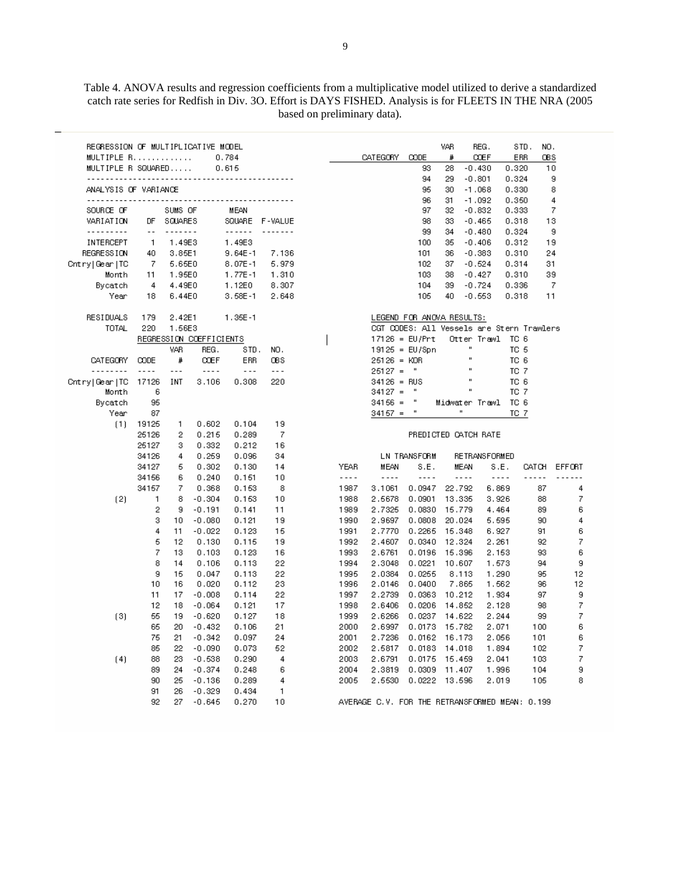Table 4. ANOVA results and regression coefficients from a multiplicative model utilized to derive a standardized catch rate series for Redfish in Div. 3O. Effort is DAYS FISHED. Analysis is for FLEETS IN THE NRA (2005 based on preliminary data).

| REGRESSION OF MULTIPLICATIVE MODEL<br>MULTIPLE R<br>MULTIPLE R SQUARED |                                 |               |                         | 0.784<br>0.615 |                          |         | CATEGORY                                       | CODE<br>93                                | VAR<br>#<br>28 | REG.<br><b>ODEF</b><br>$-0.430$ | ERR<br>0.320 | NO.<br>STD.<br>QB S | 10     |
|------------------------------------------------------------------------|---------------------------------|---------------|-------------------------|----------------|--------------------------|---------|------------------------------------------------|-------------------------------------------|----------------|---------------------------------|--------------|---------------------|--------|
|                                                                        | <u>.</u>                        |               |                         |                |                          |         |                                                | 94                                        | 29             | $-0.801$                        | 0.324        |                     | 9      |
| ANALYSIS OF VARIANCE                                                   |                                 |               |                         |                |                          |         |                                                | 95                                        | 30             | $-1.068$                        | 0.330        |                     | 8      |
|                                                                        | <u> - - - - - - - - - - - -</u> |               | - - - - - - - - -       |                |                          |         |                                                | 96                                        | 31             | $-1.092$                        | 0.350        |                     | 4      |
| SOURCE OF                                                              |                                 | SUMS OF       |                         | MEAN           |                          |         |                                                | 97                                        | 32             | $-0.832$                        | 0.333        |                     | 7      |
| VARIATION                                                              | DF                              | SQUARES       |                         |                | SQUARE F-VALUE           |         |                                                | 98                                        | 33             | $-0.465$                        | 0.318        |                     | 13     |
| ---------                                                              | $\overline{a}$                  | - - - - - - - |                         | ------         | <u>.</u>                 |         |                                                | 99                                        | 34             | $-0.480$                        | 0.324        |                     | 9      |
| INTERCEPT                                                              | 1                               | 1.49E3        |                         | 1.49E3         |                          |         |                                                | 100                                       | 35             | $-0.406$                        | 0.312        |                     | 19     |
| <b>REGRESSION</b>                                                      | 40                              | 3.85E1        |                         | $9.64E - 1$    | 7.136                    |         |                                                | 101                                       | 36             | $-0.383$                        | 0.310        |                     | 24     |
| Cntry Gear TC                                                          | 7                               | 5.65E0        |                         | $8.07E - 1$    | 5.979                    |         |                                                | 102                                       | 37             | $-0.624$                        | 0.314        |                     | 31     |
| Month                                                                  | 11                              | 1.95E0        |                         | 1.77E-1        | 1.310                    |         |                                                | 103                                       | 38             | $-0.427$                        | 0.310        |                     | 39     |
| Bycatch                                                                | 4                               | 4.49E0        |                         | 1.12E0         | 8.307                    |         |                                                | 104                                       | 39             | $-0.724$                        | 0.336        |                     | 7      |
| Year                                                                   | 18                              | 6.44E0        |                         | $3.58E - 1$    | 2.648                    |         |                                                | 105                                       | 40             | $-0.653$                        | 0.318        |                     | 11     |
| RESIDUALS                                                              | 179                             | 2.42E1        |                         | $1.35E - 1$    |                          |         |                                                | LEGEND FOR ANOVA RESULTS:                 |                |                                 |              |                     |        |
| TOTAL                                                                  | 220                             | 1.56E3        |                         |                |                          |         |                                                | CGT CODES: All Vessels are Stern Trawlers |                |                                 |              |                     |        |
|                                                                        |                                 |               | REGRESSION COEFFICIENTS |                |                          |         | $17126 = EU/Prt$                               |                                           |                | Otter Trawl                     | TC 6         |                     |        |
|                                                                        |                                 | VAR           | REG.                    | STD.           | NO.                      |         |                                                | $19125 = EU/Spn$                          |                | $\blacksquare$                  | TC 5         |                     |        |
| <b>CATEGORY</b>                                                        | <b>CODE</b>                     | #             | <b>COEF</b>             | ERR            | <b>OBS</b>               |         | $26126 = KOR$                                  |                                           |                | $\mathbf{u}$                    | TC 6         |                     |        |
| .                                                                      | ----                            | - - -         | ----                    | $\ddotsc$      | $\overline{\phantom{a}}$ |         | $26127 =$                                      | $\mathbf{H}$                              |                |                                 | TC 7         |                     |        |
| Cntry   Gear   TC                                                      | 17126                           | INT           | 3,106                   | 0.308          | 220                      |         | $34126 = RUS$                                  |                                           |                | п                               | TC 6         |                     |        |
| Month                                                                  | 6                               |               |                         |                |                          |         | $34127 =$                                      | $\mathbf{u}$                              |                |                                 | TC 7         |                     |        |
| Bycatch                                                                | 95                              |               |                         |                |                          |         | $34156 =$                                      | $\mathbf{u}$                              | Midwater Trawl |                                 | TC 6         |                     |        |
| Year                                                                   | 87                              |               |                         |                |                          |         | $34157 =$                                      | $\mathbf u$                               | $\mathbf{u}$   |                                 | TC 7         |                     |        |
| (1)                                                                    | 19125                           | 1             | 0.602                   | 0.104          | 19                       |         |                                                |                                           |                |                                 |              |                     |        |
|                                                                        | 25126                           | 2             | 0.215                   | 0.289          | 7                        |         |                                                | PREDICTED CATCH RATE                      |                |                                 |              |                     |        |
|                                                                        | 26127                           | 3             | 0.332                   | 0.212          | 16                       |         |                                                |                                           |                |                                 |              |                     |        |
|                                                                        | 34126                           | 4             | 0.259                   | 0.096          | 34                       |         |                                                | LN TRANSFORM                              |                | RETRANSFORMED                   |              |                     |        |
|                                                                        | 34127                           | 5             | 0.302                   | 0.130          | 14                       | YEAR    | MEAN                                           | S.E.                                      | MEAN           |                                 | S.E.         | CATCH.              | EFFORT |
|                                                                        | 34156                           | 6             | 0.240                   | 0.151          | 10                       | - - - - | $- - - -$                                      | $- - -$                                   | $- - - -$      |                                 | $- - - -$    | -----               |        |
|                                                                        | 34157                           | 7             | 0.368                   | 0.153          | 8                        | 1987    | 3,1061                                         | 0.0947                                    | 22.792         |                                 | 6.869        | 87                  | 4      |
| (2)                                                                    | $\mathbf{1}$                    | 8             | $-0.304$                | 0.153          | 10                       | 1988    | 2.5678                                         | 0.0901                                    | 13,335         |                                 | 3.926        | 88                  | 7      |
|                                                                        | 2                               | 9             | $-0.191$                | 0.141          | 11                       | 1989    | 2.7325                                         | 0.0830                                    | 15,779         |                                 | 4.464        | 89                  | 6      |
|                                                                        | 3                               | 10            | $-0.080$                | 0.121          | 19                       | 1990    | 2.9697                                         | 0.0808                                    | 20,024         |                                 | 5.595        | 90                  | 4      |
|                                                                        | 4                               | 11            | $-0.022$                | 0.123          | 15                       | 1991    | 2.7770                                         | 0.2265                                    | 15.348         |                                 | 6.927        | 91                  | 6      |
|                                                                        | 5                               | 12            | 0.130                   | 0.115          | 19                       | 1992    | 2.4607                                         | 0.0340                                    | 12.324         |                                 | 2,261        | 92                  | 7      |
|                                                                        | 7                               | 13            | 0.103                   | 0.123          | 16                       | 1993    | 2.6761                                         | 0.0196                                    | 15,396         |                                 | 2.153        | 93                  | 6      |
|                                                                        | 8                               | 14            | 0.106                   | 0.113          | 22                       | 1994    | 2.3048                                         | 0.0221                                    | 10.607         |                                 | 1.573        | 94                  | 9      |
|                                                                        | 9                               | 15            | 0.047                   | 0.113          | 22                       | 1995    | 2.0384                                         | 0.0255                                    | 8.113          |                                 | 1,290        | 95                  | 12     |
|                                                                        | 10                              | 16            | 0.020                   | 0.112          | 23                       | 1996    | 2.0146                                         | 0.0400                                    | 7.865          |                                 | 1.562        | 96                  | 12     |
|                                                                        | 11                              | 17            | $-0.008$                | 0.114          | 22                       | 1997    | 2.2739                                         | 0.0363                                    | 10.212         |                                 | 1.934        | 97                  | 9      |
|                                                                        | 12                              | 18            | $-0.064$                | 0.121          | 17                       | 1998    | 2.6406                                         | 0.0206                                    | 14,852         |                                 | 2,128        | 98                  | 7      |
| (3)                                                                    | 65                              | 19            | $-0.620$                | 0.127          | 18                       | 1999    | 2.6266                                         | 0.0237                                    | 14.622         |                                 | 2.244        | 99                  | 7      |
|                                                                        | 65                              | 20            | $-0.432$                | 0.106          | 21                       | 2000    | 2.6997                                         | 0.0173                                    | 15.782         |                                 | 2.071        | 100                 | 6      |
|                                                                        | 75                              | 21            | $-0.342$                | 0.097          | 24                       | 2001    | 2.7236                                         | 0.0162                                    | 16.173         |                                 | 2,056        | 101                 | 6      |
|                                                                        | 85                              | 22            | $-0.090$                | 0.073          | 62                       | 2002    | 2.5817                                         | 0.0183                                    | 14,018         |                                 | 1.894        | 102                 | 7      |
| (4)                                                                    | 88                              | 23            | $-0.538$                | 0.290          | 4                        | 2003    | 2.6791                                         | 0.0175                                    | 15.459         |                                 | 2.041        | 103                 | 7      |
|                                                                        | 89                              | 24            | $-0.374$                | 0.248          | 6                        | 2004    | 2.3819                                         | 0.0309                                    | 11,407         |                                 | 1.996        | 104                 | 9      |
|                                                                        | 90                              | 25            | $-0.136$                | 0.289          | 4                        | 2005    | 2.5530                                         | 0.0222                                    | 13,596         |                                 | 2.019        | 105                 | 8      |
|                                                                        | 91                              | 26            | $-0.329$                | 0.434          | 1                        |         |                                                |                                           |                |                                 |              |                     |        |
|                                                                        | 92                              | 27            | $-0.645$                | 0.270          | 10                       |         | AVERAGE C.V. FOR THE RETRANSFORMED MEAN: 0.199 |                                           |                |                                 |              |                     |        |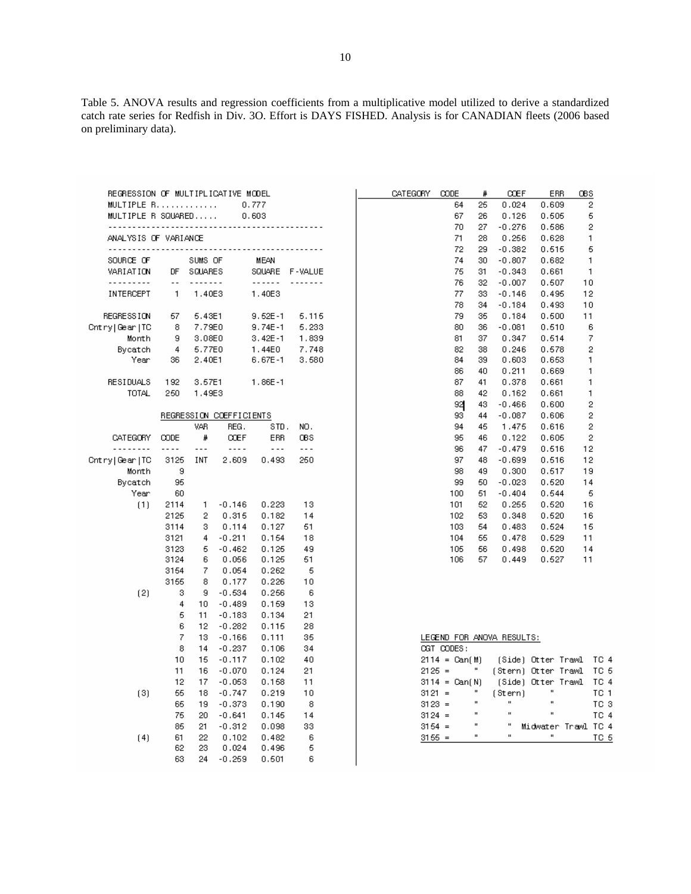Table 5. ANOVA results and regression coefficients from a multiplicative model utilized to derive a standardized catch rate series for Redfish in Div. 3O. Effort is DAYS FISHED. Analysis is for CANADIAN fleets (2006 based on preliminary data).

| REGRESSION OF MULTIPLICATIVE MODEL |                          |          |                         |                        |          |
|------------------------------------|--------------------------|----------|-------------------------|------------------------|----------|
| MULTIPLE R<br>MULTIPLE R SQUARED   |                          |          |                         | 0.777<br>0.603         |          |
|                                    |                          |          |                         |                        |          |
| ANALYSIS OF VARIANCE               |                          |          |                         |                        |          |
|                                    |                          |          |                         |                        |          |
| SOURCE OF                          |                          | SUMS OF  |                         | MEAN                   |          |
| VARIATION                          | DF.                      | SQUARES  |                         | SQUARE                 | F-VALUE  |
| .                                  | $\overline{\phantom{a}}$ | <u>.</u> |                         | $\cdots \cdots \cdots$ | <u>.</u> |
| INTERCEPT                          | $\overline{1}$           | 1.40E3   |                         | 1.40E3                 |          |
|                                    |                          |          |                         |                        |          |
| REGRESSION                         | - 67                     | 5.43E1   |                         | $9.62E - 1$            | 5.115    |
| Cntry Gear TC                      | -8                       | 7.79E0   |                         | $9.74E - 1$            | 5.233    |
| Month                              | -9                       | 3.08E0   |                         | $3.42E - 1$            | 1,839    |
| Bycatch                            | 4                        | 5.77E0   |                         | 1.44E0                 | 7.748    |
| Year                               | 36.                      | 2.40E1   |                         | 6.67E-1                | 3.580    |
| <b>RESIDUALS</b>                   | 192                      | 3.67E1   |                         | 1.86E-1                |          |
| TOTAL                              | 250                      | 1.49E3   |                         |                        |          |
|                                    |                          |          | REGRESSION COEFFICIENTS |                        |          |
|                                    |                          | VAR.     | REG.                    | STD.                   | NO.      |
| CATEGORY                           | <b>CODE</b>              | #        | <b>ODEF</b>             | ERR                    | ŒS       |
| .                                  | ----                     | - - -    | $- - - -$               | $- - -$                |          |
| Cntry Gear TC                      | 3125                     | INT      | 2,609                   | 0.493                  | 250      |
| Month                              | 9                        |          |                         |                        |          |
| Bycatch                            | 95                       |          |                         |                        |          |
| Year                               | 60                       |          |                         |                        |          |
| (1)                                | 2114                     | 1.       | $-0.146$                | 0.223                  | 13       |
|                                    | 2125                     | $^{2}$   | 0.316                   | 0.182                  | 14       |
|                                    | 3114                     | з        | 0.114                   | 0.127                  | 61       |
|                                    | 3121                     | 4        | $-0.211$                | 0.154                  | 18       |
|                                    | 3123                     | 5        | $-0.462$                | 0.125                  | 49       |
|                                    | 3124                     | 6        | 0.056                   | 0.125                  | 51       |
|                                    | 3154                     | 7        | 0.054                   | 0.262                  | 5        |
|                                    | 3155                     | 8        | 0.177                   | 0.226                  | 10       |
| $^{(2)}$                           | з                        | 9        | $-0.534$                | 0.256                  | 6        |
|                                    | 4                        | 10       | $-0.489$                | 0.159                  | 13       |
|                                    | 6                        | 11       | $-0.183$                | 0.134                  | 21       |
|                                    | 6                        | 12       | $-0.282$                | 0.115                  | 28       |
|                                    | 7                        | 13       | $-0.166$                | 0.111                  | 35       |
|                                    | 8                        | 14       | $-0.237$                | 0.106                  | 34       |
|                                    | 10                       | 15       | $-0.117$                | 0.102                  | 40       |
|                                    | 11                       | 16       | $-0.070$                | 0.124                  | 21       |
|                                    | 12                       | 17       | $-0.053$                | 0.158                  | 11       |
| (3)                                | 66                       | 18       | $-0.747$                | 0.219                  | 10       |
|                                    | 65                       | 19       | $-0.373$                | 0.190                  | 8        |
|                                    | 75                       | 20       | $-0.641$                | 0.145                  | 14       |
|                                    | 85                       | 21.      | $-0.312$                | 0.098                  | 33       |
| $^{(4)}$                           | 61                       | 22       | 0.102                   | 0.482                  | 6        |
|                                    | 62                       | 23       | 0.024                   | 0.496                  | 5        |
|                                    | 63                       | 24       | $-0.269$                | 0.501                  | 6        |

| <b>CATEGORY</b> | CODE | #  | <b>CCEF</b> | ERR   | <b>OBS</b> |
|-----------------|------|----|-------------|-------|------------|
|                 | 64   | 25 | 0.024       | 0.609 | 2          |
|                 | 67   | 26 | 0.126       | 0.505 | 5          |
|                 | 70   | 27 | $-0.276$    | 0.586 | 2          |
|                 | 71   | 28 | 0.256       | 0.628 | 1          |
|                 | 72   | 29 | $-0.382$    | 0.515 | 5          |
|                 | 74   | 30 | $-0.807$    | 0.682 | 1          |
|                 | 76   | 31 | $-0.343$    | 0.661 | 1          |
|                 | 76   | 32 | $-0.007$    | 0.607 | 10         |
|                 | 77   | 33 | $-0.146$    | 0.495 | 12         |
|                 | 78   | 34 | $-0.184$    | 0.493 | 10         |
|                 | 79   | 35 | 0.184       | 0.500 | 11         |
|                 | 80   | 36 | $-0.081$    | 0.510 | 6          |
|                 | 81   | 37 | 0.347       | 0.614 | 7          |
|                 | 82   | 38 | 0.246       | 0.678 | 2          |
|                 | 84   | 39 | 0.603       | 0.653 | 1          |
|                 | 86   | 40 | 0.211       | 0.669 | 1          |
|                 | 87   | 41 | 0.378       | 0.661 | 1          |
|                 | 88   | 42 | 0.162       | 0.661 | 1          |
|                 | 92   | 43 | $-0.466$    | 0.600 | 2          |
|                 | 93   | 44 | $-0.087$    | 0.606 | 2          |
|                 | 94   | 45 | 1.475       | 0.616 | 2          |
|                 | 95   | 46 | 0.122       | 0.605 | 2          |
|                 | 96   | 47 | $-0.479$    | 0.616 | 12         |
|                 | 97   | 48 | $-0.699$    | 0.516 | 12         |
|                 | 98   | 49 | 0.300       | 0.617 | 19         |
|                 | 99   | 60 | $-0.023$    | 0.620 | 14         |
|                 | 100  | 51 | $-0.404$    | 0.544 | 5          |
|                 | 101  | 52 | 0.255       | 0.520 | 16         |
|                 | 102  | 53 | 0.348       | 0.520 | 16         |
|                 | 103  | 54 | 0.483       | 0.524 | 15         |
|                 | 104  | 55 | 0.478       | 0.529 | 11         |
|                 | 105  | 56 | 0.498       | 0.520 | 14         |
|                 | 106  | 57 | 0.449       | 0.527 | 11         |
|                 |      |    |             |       |            |

|                 |                | LEGEND FOR ANOVA RESULTS: |                          |      |  |
|-----------------|----------------|---------------------------|--------------------------|------|--|
| OGT CODES:      |                |                           |                          |      |  |
| $2114 = Can(M)$ |                |                           | (Side) Otter Trawl  TC 4 |      |  |
| $2125 =$        | $\mathbf{u}$   | (Stern) Otter Trawl TC 5  |                          |      |  |
| $3114 = Can(N)$ |                |                           | (Side) Otter Trawl       | TC 4 |  |
| $3121 =$        | $\blacksquare$ | (Stern)                   | $\blacksquare$           | TC 1 |  |
| $3123 =$        | $\blacksquare$ | $\blacksquare$            | $\mathbf{u}$             | TC 3 |  |
| $3124 =$        | $\blacksquare$ | $\blacksquare$            | $\blacksquare$           | TC 4 |  |
| $3154 =$        | $\mathbf{u}$   | $\blacksquare$            | Midwater Trawl TC 4      |      |  |
| 3155<br>$=$     | $\blacksquare$ | $\blacksquare$            | $\mathbf{u}$             | TC.  |  |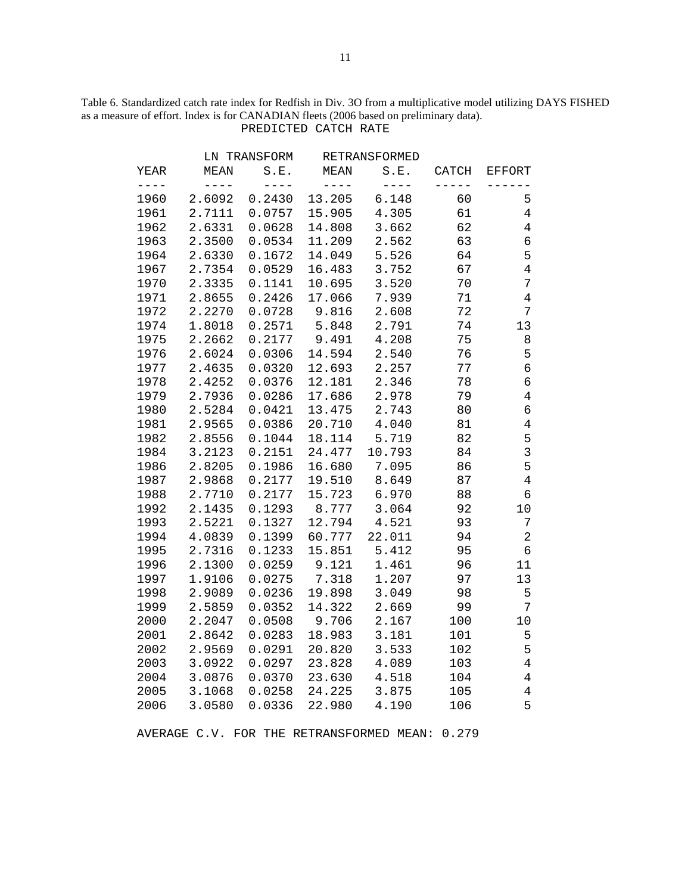# Table 6. Standardized catch rate index for Redfish in Div. 3O from a multiplicative model utilizing DAYS FISHED as a measure of effort. Index is for CANADIAN fleets (2006 based on preliminary data). PREDICTED CATCH RATE

|      |             | LN TRANSFORM |             | RETRANSFORMED |       |                |
|------|-------------|--------------|-------------|---------------|-------|----------------|
| YEAR | <b>MEAN</b> | S.E.         | <b>MEAN</b> | S.E.          | CATCH | <b>EFFORT</b>  |
|      | $- - - -$   | $- - - -$    | $- - - -$   | $- - - -$     |       |                |
| 1960 | 2.6092      | 0.2430       | 13.205      | 6.148         | 60    | 5              |
| 1961 | 2.7111      | 0.0757       | 15.905      | 4.305         | 61    | $\overline{4}$ |
| 1962 | 2.6331      | 0.0628       | 14.808      | 3.662         | 62    | $\overline{4}$ |
| 1963 | 2.3500      | 0.0534       | 11.209      | 2.562         | 63    | $\epsilon$     |
| 1964 | 2.6330      | 0.1672       | 14.049      | 5.526         | 64    | 5              |
| 1967 | 2.7354      | 0.0529       | 16.483      | 3.752         | 67    | $\overline{4}$ |
| 1970 | 2.3335      | 0.1141       | 10.695      | 3.520         | 70    | 7              |
| 1971 | 2.8655      | 0.2426       | 17.066      | 7.939         | 71    | $\overline{4}$ |
| 1972 | 2.2270      | 0.0728       | 9.816       | 2.608         | 72    | 7              |
| 1974 | 1.8018      | 0.2571       | 5.848       | 2.791         | 74    | 13             |
| 1975 | 2.2662      | 0.2177       | 9.491       | 4.208         | 75    | 8              |
| 1976 | 2.6024      | 0.0306       | 14.594      | 2.540         | 76    | 5              |
| 1977 | 2.4635      | 0.0320       | 12.693      | 2.257         | 77    | 6              |
| 1978 | 2.4252      | 0.0376       | 12.181      | 2.346         | 78    | 6              |
| 1979 | 2.7936      | 0.0286       | 17.686      | 2.978         | 79    | $\overline{4}$ |
| 1980 | 2.5284      | 0.0421       | 13.475      | 2.743         | 80    | б              |
| 1981 | 2.9565      | 0.0386       | 20.710      | 4.040         | 81    | $\overline{4}$ |
| 1982 | 2.8556      | 0.1044       | 18.114      | 5.719         | 82    | 5              |
| 1984 | 3.2123      | 0.2151       | 24.477      | 10.793        | 84    | $\mathbf{3}$   |
| 1986 | 2.8205      | 0.1986       | 16.680      | 7.095         | 86    | 5              |
| 1987 | 2.9868      | 0.2177       | 19.510      | 8.649         | 87    | $\overline{4}$ |
| 1988 | 2.7710      | 0.2177       | 15.723      | 6.970         | 88    | 6              |
| 1992 | 2.1435      | 0.1293       | 8.777       | 3.064         | 92    | 10             |
| 1993 | 2.5221      | 0.1327       | 12.794      | 4.521         | 93    | 7              |
| 1994 | 4.0839      | 0.1399       | 60.777      | 22.011        | 94    | $\overline{2}$ |
| 1995 | 2.7316      | 0.1233       | 15.851      | 5.412         | 95    | 6              |
| 1996 | 2.1300      | 0.0259       | 9.121       | 1.461         | 96    | 11             |
| 1997 | 1.9106      | 0.0275       | 7.318       | 1.207         | 97    | 13             |
| 1998 | 2.9089      | 0.0236       | 19.898      | 3.049         | 98    | 5              |
| 1999 | 2.5859      | 0.0352       | 14.322      | 2.669         | 99    | 7              |
| 2000 | 2.2047      | 0.0508       | 9.706       | 2.167         | 100   | 10             |
| 2001 | 2.8642      | 0.0283       | 18.983      | 3.181         | 101   | 5              |
| 2002 | 2.9569      | 0.0291       | 20.820      | 3.533         | 102   | 5              |
| 2003 | 3.0922      | 0.0297       | 23.828      | 4.089         | 103   | $\overline{4}$ |
| 2004 | 3.0876      | 0.0370       | 23.630      | 4.518         | 104   | $\overline{4}$ |
| 2005 | 3.1068      | 0.0258       | 24.225      | 3.875         | 105   | $\overline{4}$ |
| 2006 | 3.0580      | 0.0336       | 22.980      | 4.190         | 106   | 5              |

AVERAGE C.V. FOR THE RETRANSFORMED MEAN: 0.279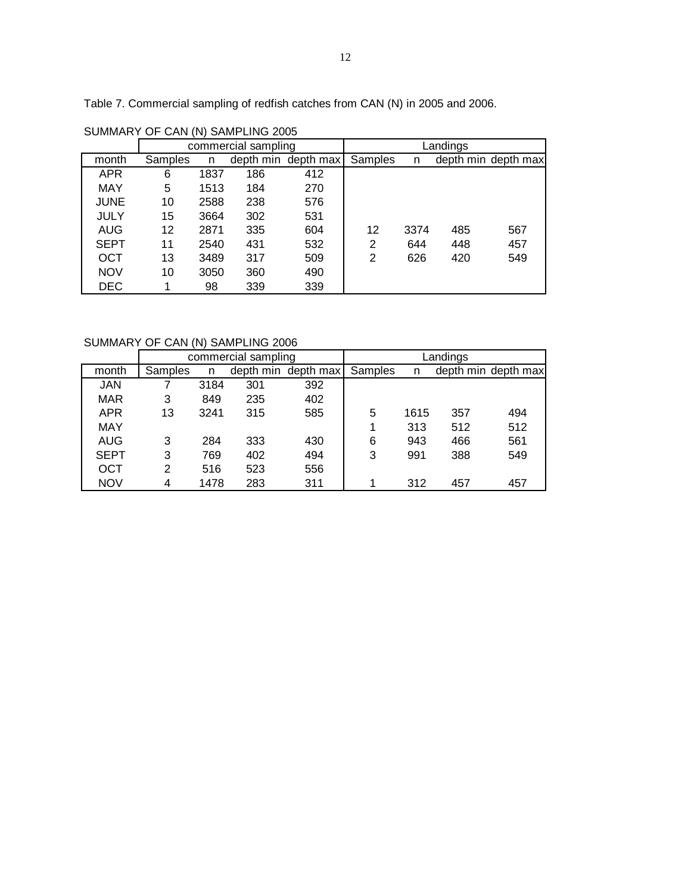Table 7. Commercial sampling of redfish catches from CAN (N) in 2005 and 2006.

|             |         | $\sqrt{ }$ |                     |                     |          |      |     |                     |  |  |
|-------------|---------|------------|---------------------|---------------------|----------|------|-----|---------------------|--|--|
|             |         |            | commercial sampling |                     | Landings |      |     |                     |  |  |
| month       | Samples | n          |                     | depth min depth max | Samples  | n    |     | depth min depth max |  |  |
| <b>APR</b>  | 6       | 1837       | 186                 | 412                 |          |      |     |                     |  |  |
| MAY         | 5       | 1513       | 184                 | 270                 |          |      |     |                     |  |  |
| <b>JUNE</b> | 10      | 2588       | 238                 | 576                 |          |      |     |                     |  |  |
| <b>JULY</b> | 15      | 3664       | 302                 | 531                 |          |      |     |                     |  |  |
| AUG         | 12      | 2871       | 335                 | 604                 | 12       | 3374 | 485 | 567                 |  |  |
| <b>SEPT</b> | 11      | 2540       | 431                 | 532                 | 2        | 644  | 448 | 457                 |  |  |
| <b>OCT</b>  | 13      | 3489       | 317                 | 509                 | 2        | 626  | 420 | 549                 |  |  |
| <b>NOV</b>  | 10      | 3050       | 360                 | 490                 |          |      |     |                     |  |  |
| <b>DEC</b>  |         | 98         | 339                 | 339                 |          |      |     |                     |  |  |

SUMMARY OF CAN (N) SAMPLING 2005

SUMMARY OF CAN (N) SAMPLING 2006

|             |         |      | commercial sampling |                     | Landings |      |     |                     |  |  |
|-------------|---------|------|---------------------|---------------------|----------|------|-----|---------------------|--|--|
| month       | Samples | n    |                     | depth min depth max | Samples  | n    |     | depth min depth max |  |  |
| <b>JAN</b>  |         | 3184 | 301                 | 392                 |          |      |     |                     |  |  |
| <b>MAR</b>  | 3       | 849  | 235                 | 402                 |          |      |     |                     |  |  |
| <b>APR</b>  | 13      | 3241 | 315                 | 585                 | 5        | 1615 | 357 | 494                 |  |  |
| MAY         |         |      |                     |                     |          | 313  | 512 | 512                 |  |  |
| <b>AUG</b>  | 3       | 284  | 333                 | 430                 | 6        | 943  | 466 | 561                 |  |  |
| <b>SEPT</b> | 3       | 769  | 402                 | 494                 | 3        | 991  | 388 | 549                 |  |  |
| OCT         | 2       | 516  | 523                 | 556                 |          |      |     |                     |  |  |
| NOV         | 4       | 1478 | 283                 | 311                 |          | 312  | 457 | 457                 |  |  |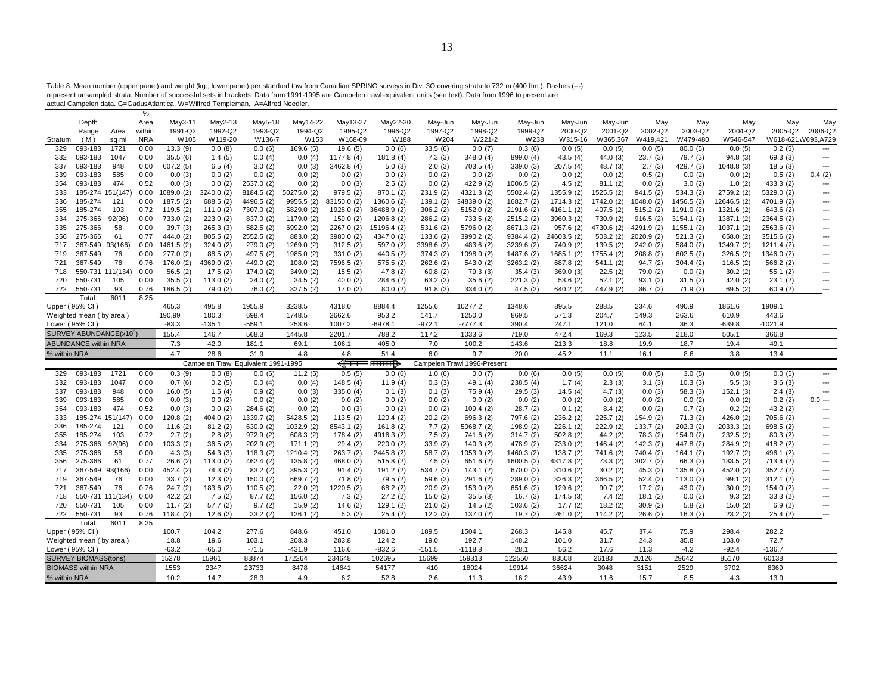Table 8. Mean number (upper panel) and weight (kg., lower panel) per standard tow from Canadian SPRING surveys in Div. 3O covering strata to 732 m (400 ftm.). Dashes (---)<br>represent unsampled strata. Number of successful s

|              |                             |                                     | %            |                        |                       |                                     |                         |                           |                     |                        |                             |                          |                          |                       |                        |                         |                           |                          |                                 |
|--------------|-----------------------------|-------------------------------------|--------------|------------------------|-----------------------|-------------------------------------|-------------------------|---------------------------|---------------------|------------------------|-----------------------------|--------------------------|--------------------------|-----------------------|------------------------|-------------------------|---------------------------|--------------------------|---------------------------------|
|              | Depth                       |                                     | Area         | May3-11                | May2-13               | May5-18                             | May14-22                | May13-27                  | May22-30            | May-Jun                | May-Jun                     | May-Jun                  | May-Jun                  | May-Jun               | May                    | May                     | May                       | May                      | May                             |
|              | Range                       | Area                                | within       | 1991-Q2                | 1992-Q2               | 1993-Q2                             | 1994-Q2                 | 1995-Q2                   | 1996-Q2             | 1997-Q2                | 1998-Q2                     | 1999-Q2                  | 2000-Q2                  | 2001-Q2               | 2002-Q2                | 2003-Q2                 | 2004-Q2                   | 2005-Q2                  | 2006-Q2                         |
| Stratum      | (M)                         | sq mi                               | <b>NRA</b>   | W <sub>105</sub>       | W119-20               | W136-7                              | W153                    | W168-69                   | W188                | W204                   | W221-2                      | W238                     | W315-16                  | W365,367              | W419,421               | W479-480                | W546-547                  |                          | W618-621 W693,A729              |
| 329          | 093-183                     | 1721                                | 0.00         | 13.3(9)                | 0.0(8)                | 0.0(6)                              | 169.6 (5)               | 19.6(5)                   | 0.0(6)              | 33.5(6)                | 0.0(7)                      | 0.3(6)                   | 0.0(5)                   | 0.0(5)                | 0.0(5)                 | 80.0(5)                 | 0.0(5)                    | 0.2(5)                   |                                 |
| 332          | 093-183                     | 1047                                | 0.00         | 35.5(6)                | 1.4(5)                | 0.0(4)                              | 0.0(4)                  | 1177.8 (4)                | 181.8 (4)           | 7.3(3)                 | 348.0(4)                    | 899.0 (4)                | 43.5(4)                  | 44.0(3)               | 23.7(3)                | 79.7 (3)                | 94.8(3)                   | 69.3(3)                  | $\overline{\phantom{a}}$        |
| 337          | 093-183                     | 948                                 | 0.00         | 607.2(5)               | 6.5(4)                | 3.0(2)                              | 0.0(3)                  | 3462.8(4)                 | 5.0(3)              | 2.0(3)                 | 703.5(4)                    | 339.0 (3)                | 207.5(4)                 | 48.7 (3)              | 2.7(3)                 | 429.7 (3)               | 1048.8(3)                 | 18.5(3)                  | $\hspace{0.05cm} \ldots$        |
| 339          | 093-183                     | 585                                 | 0.00         | 0.0(3)                 | 0.0(2)                | 0.0(2)                              | 0.0(2)                  | 0.0(2)                    | 0.0(2)              | 0.0(2)                 | 0.0(2)                      | 0.0(2)                   | 0.0(2)                   | 0.0(2)                | 0.5(2)                 | 0.0(2)                  | 0.0(2)                    | 0.5(2)                   | 0.4(2)                          |
| 354          | 093-183                     | 474                                 | 0.52         | 0.0(3)                 | 0.0(2)                | 2537.0 (2)                          | 0.0(2)                  | 0.0(3)                    | 2.5(2)              | 0.0(2)                 | 422.9 (2)                   | 1006.5(2)                | 4.5(2)                   | 81.1(2)               | 0.0(2)                 | 3.0(2)                  | 1.0(2)                    | 433.3 (2)                | $\overline{a}$                  |
| 333          |                             | 185-274 151(147                     | 0.00         | 1089.0(2)              | 3240.0 (2)            | 8184.5 (2)                          | 50275.0 (2)             | 979.5(2)                  | 870.1 (2)           | 231.9 (2)              | 4321.3 (2)                  | 5502.4 (2)               | 1355.9 (2)               | 1525.5 (2)            | 941.5(2)               | 534.3(2)                | 2759.2 (2)                | 5329.0 (2)               |                                 |
| 336<br>355   | 185-274<br>185-274          | 121<br>103                          | 0.00<br>0.72 | 187.5(2)<br>119.5(2)   | 688.5 (2)             | 4496.5 (2)<br>7307.0 (2)            | 9955.5(2)<br>5829.0 (2) | 83150.0 (2)<br>1928.0 (2) | 1360.6 (2)          | 139.1(2)<br>306.2(2)   | 34839.0 (2)<br>5152.0 (2)   | 1682.7 (2)               | 1714.3 (2)<br>4161.1 (2) | 1742.0 (2)            | 1048.0(2)<br>515.2(2)  | 1456.5(2)<br>1191.0 (2) | 12646.5 (2)<br>1321.6 (2) | 4701.9 (2)<br>643.6(2)   | $---$                           |
|              | 275-366                     | 92(96)                              | 0.00         |                        | 111.0(2)              |                                     | 1179.0 (2)              |                           | 36488.9 (2)         |                        |                             | 2191.6 (2)               | 3960.3 (2)               | 407.5(2)<br>730.9 (2) |                        |                         | 1387.1 (2)                |                          | ---<br>---                      |
| 334<br>335   | 275-366                     | 58                                  | 0.00         | 733.0 (2)<br>39.7(3)   | 223.0(2)              | 837.0 (2)                           | 6992.0 (2)              | 159.0 (2)                 | 1206.8(2)           | 286.2 (2)              | 733.5(2)<br>5796.0 (2)      | 2515.2 (2)               | 957.6(2)                 | 4730.6 (2)            | 916.5(2)<br>4291.9 (2) | 3154.1(2)               | 1037.1(2)                 | 2364.5 (2)<br>2563.6 (2) | $\hspace{0.05cm} \ldots$        |
|              | 275-366                     | 61                                  | 0.77         |                        | 265.3(3)              | 582.5 (2)                           |                         | 2267.0 (2)                | 15196.4 (2)         | 531.6 (2)              | 3990.2 (2)                  | 8671.3 (2)<br>9384.4 (2) | 24603.5 (2)              | 503.2(2)              | 2020.9 (2)             | 1155.1 (2)<br>521.3(2)  | 658.0(2)                  | 3515.6 (2)               | ---                             |
| 356<br>717   |                             | 367-549 93(166)                     | 0.00         | 444.0 (2)<br>1461.5(2) | 805.5(2)<br>324.0(2)  | 2552.5 (2)<br>279.0(2)              | 883.0 (2)<br>1269.0(2)  | 3980.0 (2)                | 4347.0 (2)          | 133.6(2)<br>3398.6 (2) | 483.6 (2)                   | 3239.6 (2)               | 740.9 (2)                | 139.5(2)              | 242.0(2)               |                         | 1349.7 (2)                | 1211.4 (2)               | ---                             |
| 719          | 367-549                     | 76                                  |              |                        |                       |                                     |                         | 312.5(2)                  | 597.0 (2)           |                        |                             |                          |                          |                       |                        | 584.0 (2)               | 326.5(2)                  |                          | ---                             |
|              | 367-549                     | 76                                  | 0.00<br>0.76 | 277.0(2)<br>176.0(2)   | 88.5(2)<br>4369.0 (2) | 497.5 (2)                           | 1985.0 (2)              | 331.0(2)                  | 440.5 (2)           | 374.3 (2)              | 1098.0 (2)                  | 1487.6 (2)<br>3263.2 (2) | 1685.1 (2)               | 1755.4 (2)            | 208.8(2)               | 602.5(2)<br>304.4(2)    |                           | 1346.0 (2)<br>566.2(2)   | $---$                           |
| 721          |                             | 550-731 111(134)                    | 0.00         |                        |                       | 449.0 (2)                           | 108.0(2)                | 7596.5 (2)                | 575.5(2)            | 262.6 (2)              | 543.0(2)                    |                          | 687.8 (2)                | 541.1(2)              | 94.7(2)                |                         | 116.5(2)                  |                          | $\overline{a}$                  |
| 718<br>720   | 550-731                     | 105                                 | 0.00         | 56.5(2)                | 17.5(2)               | 174.0(2)                            | 349.0(2)                | 15.5(2)                   | 47.8(2)             | 60.8(2)                | 79.3(3)                     | 35.4(3)                  | 369.0(3)                 | 22.5(2)<br>52.1(2)    | 79.0(2)                | 0.0(2)                  | 30.2(2)                   | 55.1(2)                  | $\overline{\phantom{a}}$        |
| 722          | 550-731                     | 93                                  | 0.76         | 35.5(2)<br>186.5(2)    | 113.0(2)              | 24.0(2)                             | 34.5(2)<br>327.5(2)     | 40.0 $(2)$                | 284.6 (2)           | 63.2(2)                | 35.6(2)<br>334.0 (2)        | 221.3 (2)                | 53.6(2)<br>640.2(2)      | 447.9 (2)             | 93.1(2)                | 31.5(2)                 | 42.0(2)                   | 23.1(2)<br>60.9(2)       |                                 |
|              | Total:                      | 6011                                | 8.25         |                        | 79.0 (2)              | 76.0(2)                             |                         | 17.0(2)                   | 80.0(2)             | 91.8(2)                |                             | 47.5(2)                  |                          |                       | 86.7(2)                | 71.9(2)                 | 69.5(2)                   |                          |                                 |
|              | Upper (95% CI)              |                                     |              | 465.3                  | 495.8                 | 1955.9                              | 3238.5                  | 4318.0                    | 8884.4              | 1255.6                 | 10277.2                     | 1348.6                   | 895.5                    | 288.5                 | 234.6                  | 490.9                   | 1861.6                    | 1909.1                   |                                 |
|              | Weighted mean (by area)     |                                     |              | 190.99                 | 180.3                 | 698.4                               | 1748.5                  | 2662.6                    | 953.2               | 141.7                  | 1250.0                      | 869.5                    | 571.3                    | 204.7                 | 149.3                  | 263.6                   | 610.9                     | 443.6                    |                                 |
|              | Lower (95% CI)              |                                     |              | $-83.3$                | $-135.1$              | $-559.1$                            | 258.6                   | 1007.2                    | $-6978.1$           | $-972.1$               | $-7777.3$                   | 390.4                    | 247.1                    | 121.0                 | 64.1                   | 36.3                    | $-639.8$                  | $-1021.9$                |                                 |
|              |                             | SURVEY ABUNDANCE(x10 <sup>b</sup> ) |              | 155.4                  | 146.7                 | 568.3                               | 1445.8                  | 2201.7                    | 788.2               | 117.2                  | 1033.6                      | 719.0                    | 472.4                    | 169.3                 | 123.5                  | 218.0                   | 505.1                     | 366.8                    |                                 |
|              | <b>ABUNDANCE within NRA</b> |                                     |              | 7.3                    | 42.0                  | 181.1                               | 69.1                    | 106.1                     | 405.0               | 7.0                    | 100.2                       | 143.6                    | 213.3                    | 18.8                  | 19.9                   | 18.7                    | 19.4                      | 49.1                     |                                 |
|              |                             |                                     |              |                        |                       |                                     |                         |                           |                     |                        |                             |                          |                          |                       |                        |                         |                           |                          |                                 |
|              |                             |                                     |              |                        |                       |                                     |                         |                           |                     |                        |                             |                          |                          |                       |                        |                         |                           |                          |                                 |
| % within NRA |                             |                                     |              | 4.7                    | 28.6                  | 31.9                                | 4.8                     | 4.8                       | 51.4                | 6.0                    | 9.7                         | 20.0                     | 45.2                     | 11.1                  | 16.1                   | 8.6                     | 3.8                       | 13.4                     |                                 |
|              |                             |                                     |              |                        |                       | Campelen Trawl Equivalent 1991-1995 |                         |                           | <del>◁□□□ □□□</del> |                        | Campelen Trawl 1996-Present |                          |                          |                       |                        |                         |                           |                          |                                 |
| 329          | 093-183                     | 1721                                | 0.00         | 0.3(9)                 | 0.0(8)                | 0.0(6)                              | 11.2(5)                 | 0.5(5)                    | 0.0(6)              | 1.0(6)                 | 0.0(7)                      | 0.0(6)                   | 0.0(5)                   | 0.0(5)                | 0.0(5)                 | 3.0(5)                  | 0.0(5)                    | 0.0(5)                   | $\overline{a}$                  |
| 332          | 093-183                     | 1047                                | 0.00         | 0.7(6)                 | 0.2(5)                | 0.0(4)                              | 0.0(4)                  | 148.5(4)                  | 11.9(4)             | 0.3(3)                 | 49.1 (4)                    | 238.5(4)                 | 1.7(4)                   | 2.3(3)                | 3.1(3)                 | 10.3(3)                 | 5.5(3)                    | 3.6(3)                   | $\overline{a}$                  |
| 337          | 093-183                     | 948                                 | 0.00         | 16.0(5)                | 1.5(4)                | 0.9(2)                              | 0.0(3)                  | 335.0 (4)                 | 0.1(3)              | 0.1(3)                 | 75.9(4)                     | 29.5(3)                  | 14.5(4)                  | 4.7(3)                | 0.0(3)                 | 58.3(3)                 | 152.1(3)                  | 2.4(3)                   | $\hspace{0.05cm} \ldots$        |
| 339          | 093-183                     | 585                                 | 0.00         | 0.0(3)                 | 0.0(2)                | 0.0(2)                              | 0.0(2)                  | 0.0(2)                    | 0.0(2)              | 0.0(2)                 | 0.0(2)                      | 0.0(2)                   | 0.0(2)                   | 0.0(2)                | 0.0(2)                 | 0.0(2)                  | 0.0(2)                    | 0.2(2)                   | $0.0 -$                         |
| 354          | 093-183                     | 474                                 | 0.52         | 0.0(3)                 | 0.0(2)                | 284.6 (2)                           | 0.0(2)                  | 0.0(3)                    | 0.0(2)              | 0.0(2)                 | 109.4(2)                    | 28.7(2)                  | 0.1(2)                   | 8.4(2)                | 0.0(2)                 | 0.7(2)                  | 0.2(2)                    | 43.2(2)                  | $\overline{\phantom{a}}$        |
| 333          |                             | 185-274 151(147)                    | 0.00         | 120.8(2)               | 404.0 (2)             | 1339.7 (2)                          | 5428.5 (2)              | 113.5(2)                  | 120.4(2)            | 20.2(2)                | 696.3 (2)                   | 797.6 (2)                | 236.2(2)                 | 225.7(2)              | 154.9(2)               | 71.3(2)                 | 426.0 (2)                 | 705.6 (2)                | $\overline{\phantom{a}}$        |
| 336          | 185-274                     | 121                                 | 0.00         | 11.6(2)                | 81.2(2)               | 630.9(2)                            | 1032.9 (2)              | 8543.1 (2)                | 161.8(2)            | 7.7(2)                 | 5068.7 (2)                  | 198.9 (2)                | 226.1(2)                 | 222.9(2)              | 133.7(2)               | 202.3(2)                | 2033.3 (2)                | 698.5 (2)                | $---$                           |
| 355          | 185-274                     | 103                                 | 0.72         | 2.7(2)                 | 2.8(2)                | 972.9(2)                            | 608.3(2)                | 178.4(2)                  | 4916.3 (2)          | 7.5(2)                 | 741.6 (2)                   | 314.7(2)                 | 502.8(2)                 | 44.2(2)               | 78.3 (2)               | 154.9(2)                | 232.5(2)                  | 80.3(2)                  | $\hspace{0.05cm} \ldots$<br>--- |
| 334          | 275-366                     | 92(96)                              | 0.00         | 103.3(2)               | 36.5(2)               | 202.9(2)                            | 171.1(2)                | 29.4(2)                   | 220.0(2)            | 33.9(2)                | 140.3(2)                    | 478.9 (2)                | 733.0 (2)                | 146.4(2)              | 142.3(2)               | 447.8 (2)               | 284.9 (2)                 | 418.2 (2)                | ---                             |
| 335          | 275-366                     | 58                                  | 0.00         | 4.3(3)                 | 54.3(3)               | 118.3(2)                            | 1210.4(2)               | 263.7 (2)                 | 2445.8 (2)          | 58.7(2)                | 1053.9 (2)                  | 1460.3 (2)               | 138.7(2)                 | 741.6 (2)             | 740.4 (2)              | 164.1(2)                | 192.7 (2)                 | 496.1 (2)                |                                 |
| 356          | 275-366                     | 61                                  | 0.77         | 26.6(2)                | 113.0(2)              | 462.4 (2)                           | 135.8(2)                | 468.0 (2)                 | 515.8(2)            | 7.5(2)                 | 651.6 (2)                   | 1600.5(2)                | 4317.8 (2)               | 73.3(2)               | 302.7(2)               | 66.3(2)                 | 133.5(2)                  | 713.4(2)                 | ---<br>$---$                    |
| 717          |                             | 367-549 93(166)                     | 0.00         | 452.4 (2)              | 74.3(2)               | 83.2(2)                             | 395.3(2)                | 91.4(2)                   | 191.2(2)            | 534.7 (2)              | 143.1(2)                    | 670.0 (2)                | 310.6(2)                 | 30.2(2)               | 45.3(2)                | 135.8(2)                | 452.0 (2)                 | 352.7(2)                 |                                 |
| 719          | 367-549                     | 76                                  | 0.00         | 33.7(2)                | 12.3(2)               | 150.0(2)                            | 669.7 (2)               | 71.8(2)                   | 79.5(2)             | 59.6(2)                | 291.6 (2)                   | 289.0 (2)                | 326.3(2)                 | 366.5(2)              | 52.4(2)                | 113.0(2)                | 99.1(2)                   | 312.1(2)                 | ---<br>---                      |
| 721          | 367-549                     | 76                                  | 0.76         | 24.7(2)                | 183.6 (2)             | 110.5(2)                            | 22.0(2)                 | 1220.5 (2)                | 68.2(2)             | 20.9(2)                | 153.0(2)                    | 651.6 (2)                | 129.6(2)                 | 90.7(2)               | 17.2(2)                | 43.0(2)                 | 30.0(2)                   | 154.0(2)                 | ---                             |
| 718          |                             | 550-731 111(134)                    | 0.00         | 42.2(2)                | 7.5(2)                | 87.7(2)                             | 156.0(2)                | 7.3(2)                    | 27.2(2)             | 15.0(2)                | 35.5(3)                     | 16.7(3)                  | 174.5(3)                 | 7.4(2)                | 18.1(2)                | 0.0(2)                  | 9.3(2)                    | 33.3(2)                  | $\overline{\phantom{a}}$        |
| 720<br>722   | 550-731<br>550-731          | 105<br>93                           | 0.00<br>0.76 | 11.7(2)                | 57.7(2)               | 9.7(2)                              | 15.9(2)                 | 14.6(2)                   | 129.1(2)            | 21.0(2)                | 14.5(2)                     | 103.6(2)                 | 17.7(2)                  | 18.2(2)               | 30.9(2)                | 5.8(2)                  | 15.0(2)                   | 6.9(2)                   |                                 |
|              | Total:                      | 6011                                | 8.25         | 118.4(2)               | 12.6(2)               | 33.2(2)                             | 126.1(2)                | 6.3(2)                    | 25.4(2)             | 12.2(2)                | 137.0(2)                    | 19.7(2)                  | 261.0(2)                 | 114.2(2)              | 26.6(2)                | 16.3(2)                 | 23.2(2)                   | 25.4(2)                  |                                 |
|              | Upper (95% CI)              |                                     |              | 100.7                  | 104.2                 | 277.6                               | 848.6                   | 451.0                     | 1081.0              | 189.5                  | 1504.1                      | 268.3                    | 145.8                    | 45.7                  | 37.4                   | 75.9                    | 298.4                     | 282.2                    |                                 |
|              | Weighted mean (by area)     |                                     |              | 18.8                   | 19.6                  | 103.1                               | 208.3                   | 283.8                     | 124.2               | 19.0                   | 192.7                       | 148.2                    | 101.0                    | 31.7                  | 24.3                   | 35.8                    | 103.0                     | 72.7                     |                                 |
|              | Lower (95% CI)              |                                     |              | $-63.2$                | $-65.0$               | $-71.5$                             | $-431.9$                | 116.6                     | $-832.6$            | $-151.5$               | $-1118.8$                   | 28.1                     | 56.2                     | 17.6                  | 11.3                   | $-4.2$                  | $-92.4$                   | $-136.7$                 |                                 |
|              | <b>SURVEY BIOMASS(tons)</b> |                                     |              | 15278                  | 15961                 | 83874                               | 172264                  | 234648                    | 102695              | 15699                  | 159313                      | 122550                   | 83508                    | 26183                 | 20126                  | 29642                   | 85170                     | 60138                    |                                 |
|              | <b>BIOMASS within NRA</b>   |                                     |              | 1553                   | 2347                  | 23733                               | 8478                    | 14641                     | 54177               | 410                    | 18024                       | 19914                    | 36624                    | 3048                  | 3151                   | 2529                    | 3702                      | 8369                     |                                 |
| % within NRA |                             |                                     |              | 10.2                   | 14.7                  | 28.3                                | 4.9                     | 6.2                       | 52.8                | 2.6                    | 11.3                        | 16.2                     | 43.9                     | 11.6                  | 15.7                   | 8.5                     | 4.3                       | 13.9                     |                                 |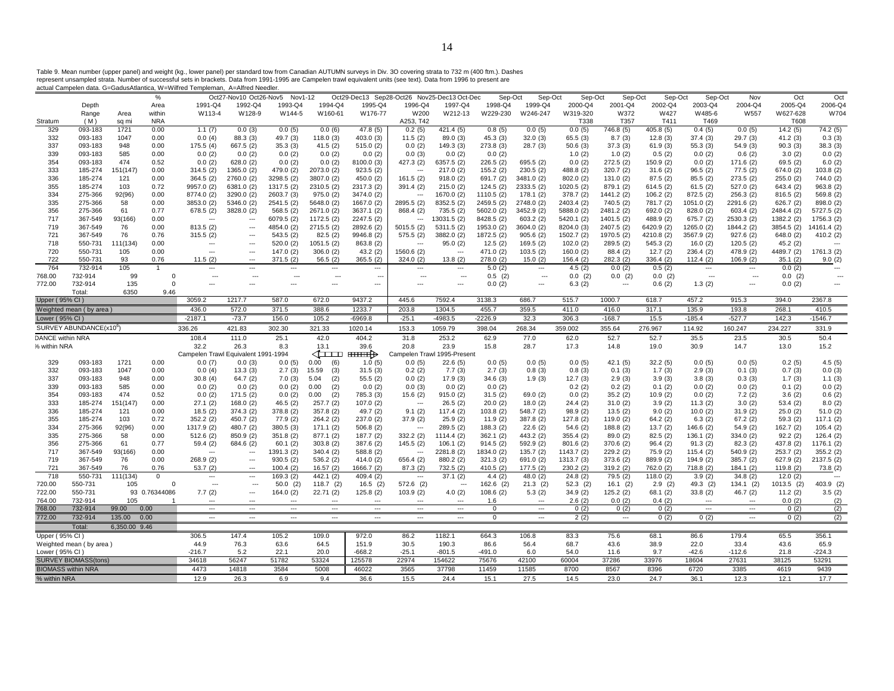Table 9. Mean number (upper panel) and weight (kg., lower panel) per standard tow from Canadian AUTUMN surveys in Div. 3O covering strata to 732 m (400 ftm.). Dashes<br>represent unsampled strata. Number of successful sets i

|                         |                                     |               | $\%$           |                                     | Oct27-Nov10 Oct26-Nov5   | Nov1-12                  |                |               |                | Oct29-Dec13 Sep28-Oct26 Nov25-Dec13 Oct-Dec | Sep-Oct       | Sep-Oct                  | Sep-Oct      | Sep-Oct                  | Sep-Oct      | Sep-Oct      | Nov                      | Oct          | Oct            |
|-------------------------|-------------------------------------|---------------|----------------|-------------------------------------|--------------------------|--------------------------|----------------|---------------|----------------|---------------------------------------------|---------------|--------------------------|--------------|--------------------------|--------------|--------------|--------------------------|--------------|----------------|
|                         | Depth                               |               | Area           | 1991-Q4                             | 1992-Q4                  | 1993-Q4                  | 1994-Q4        | 1995-Q4       | 1996-Q4        | 1997-Q4                                     | 1998-Q4       | 1999-Q4                  | 2000-Q4      | 2001-Q4                  | 2002-Q4      | 2003-Q4      | 2004-Q4                  | 2005-Q4      | 2006-Q4        |
|                         | Range                               | Area          | within         | W113-4                              | W128-9                   | W144-5                   | W160-61        | W176-77       | W200           | W212-13                                     | W229-230      | W246-247                 | W319-320     | W372                     | W427         | W485-6       | W557                     | W627-628     | W704           |
| Stratum                 | (M)                                 | sq mi         | <b>NRA</b>     |                                     |                          |                          |                |               | A253, T42      |                                             |               |                          | T338         | T357                     | T411         | T469         |                          | T608         |                |
| 329                     | 093-183                             | 1721          | 0.00           | 1.1(7)                              | 0.0(3)                   | 0.0(5)                   | 0.0(6)         | 47.8 (5)      | 0.2(5)         | 421.4 (5)                                   | 0.8(5)        | 0.0(5)                   | 0.0(5)       | 746.8 (5)                | 405.8 (5)    | 0.4(5)       | 0.0(5)                   | 14.2(5)      | 74.2 (5)       |
| 332                     | 093-183                             | 1047          | 0.00           | 0.0(4)                              | 88.3 (3)                 | 49.7 (3)                 | 118.0(3)       | 403.0(3)      | 11.5(2)        | 89.0 (3)                                    | 45.3(3)       | 32.0(3)                  | 65.5(3)      | 8.7(3)                   | 12.8(3)      | 37.4(3)      | 29.7 (3)                 | 41.2 (3)     | 0.3(3)         |
| 337                     | 093-183                             | 948           | 0.00           | 175.5(4)                            | 667.5 (2)                | 35.3(3)                  | 41.5(2)        | 515.0(2)      | 0.0(2)         | 149.3(3)                                    | 273.8 (3)     | 28.7(3)                  | 50.6(3)      | 37.3(3)                  | 61.9(3)      | 55.3 (3)     | 54.9 (3)                 | 90.3(3)      | 38.3(3)        |
| 339                     | 093-183                             | 585           | 0.00           | 0.0(2)                              | 0.0(2)                   | 0.0(2)                   | 0.0(2)         | 0.0(2)        | 0.0(3)         | 0.0(2)                                      | 0.0(2)        |                          | 1.0(2)       | 1.0(2)                   | 0.5(2)       | 0.0(2)       | 0.6(2)                   | 3.0(2)       | 0.0(2)         |
| 354                     | 093-183                             | 474           | 0.52           | 0.0(2)                              | 628.0(2)                 | 0.0(2)                   | 0.0(2)         | 8100.0 (3)    | 427.3 (2)      | 6357.5 (2)                                  | 226.5(2)      | 695.5 (2)                | 0.0(2)       | 272.5 (2)                | 150.9(2)     | 0.0(2)       | 171.6(2)                 | 69.5 (2)     | 6.0(2)         |
| 333                     | 185-274                             | 151(147)      | 0.00           | 314.5(2)                            | 1365.0 (2)               | 479.0 (2)                | 2073.0 (2)     | 923.5(2)      | $\sim$         | 217.0(2)                                    | 155.2(2)      | 230.5(2)                 | 488.8 (2)    | 320.7(2)                 | 31.6(2)      | 96.5(2)      | 77.5(2)                  | 674.0 (2)    | 103.8 (2)      |
| 336                     | 185-274                             | 121           | 0.00           | 364.5(2)                            | 2760.0 (2)               | 3298.5 (2)               | 3807.0 (2)     | 450.0(2)      | 161.5(2)       | 918.0(2)                                    | 691.7 (2)     | 3481.0 (2)               | 802.0 (2)    | 131.0(2)                 | 87.5(2)      | 85.5(2)      | 273.5(2)                 | 255.0(2)     | 744.0 (2)      |
| 355                     | 185-274                             | 103           | 0.72           | 9957.0 (2)                          | 6381.0 (2)               | 1317.5 (2)               | 2310.5 (2)     | 2317.3 (2)    | 391.4(2)       | 215.0(2)                                    | 124.5(2)      | 2333.5 (2)               | 1020.5 (2)   | 879.1 (2)                | 614.5(2)     | 61.5(2)      | 527.0(2)                 | 643.4 (2)    | 963.8 (2)      |
| 334                     | 275-366                             | 92(96)        | 0.00           | 8774.0 (2)                          | 3290.0 (2)               | 2603.7 (3)               | 975.0(2)       | 3474.0 (2)    | $\sim$         | 1670.0 (2)                                  | 1110.5(2)     | 178.1(2)                 | 378.7 (2)    | 1441.2 (2)               | 106.2(2)     | 872.5(2)     | 256.3(2)                 | 816.5(2)     | 569.8 (2)      |
| 335                     | 275-366                             | 58            | 0.00           | 3853.0 (2)                          | 5346.0 (2)               | 2541.5 (2)               | 5648.0 (2)     | 1667.0 (2)    | 2895.5 (2)     | 8352.5 (2)                                  | 2459.5 (2)    | 2748.0 (2)               | 2403.4 (2)   | 740.5 (2)                | 781.7 (2)    | 1051.0(2)    | 2291.6 (2)               | 626.7(2)     | 898.0 (2)      |
| 356                     | 275-366                             | 61            | 0.77           | 678.5(2)                            | 3828.0 (2)               | 568.5(2)                 | 2671.0 (2)     | 3637.1 (2)    | 868.4 (2)      | 735.5 (2)                                   | 5602.0 (2)    | 3452.9 (2)               | 5888.0 (2)   | 2481.2 (2)               | 692.0 (2)    | 828.0 (2)    | 603.4(2)                 | 2484.4 (2)   | 5727.5 (2)     |
| 717                     | 367-549                             | 93(166)       | 0.00           |                                     | ---                      | 6079.5 (2)               | 1172.5 (2)     | 2247.5 (2)    | $\overline{a}$ | 13031.5 (2)                                 | 8428.5 (2)    | 603.2(2)                 | 5420.1 (2)   | 1401.5 (2)               | 488.9 (2)    | 675.7(2)     | 2530.3 (2)               | 1382.2 (2)   | 1756.3 (2)     |
| 719                     | 367-549                             | 76            | 0.00           | 813.5(2)                            | $\sim$                   | 4854.0 (2)               | 2715.5 (2)     | 2892.6 (2)    | 5015.5(2)      | 5311.5 (2)                                  | 1953.0 (2)    | 3604.0 (2)               | 8204.0 (3)   | 2407.5 (2)               | 6420.9 (2)   | 1265.0 (2)   | 1844.2 (2)               | 3854.5 (2)   | 14161.4 (2)    |
| 721                     | 367-549                             | 76            | 0.76           | 315.5(2)                            | ---                      | 543.5 (2)                | 82.5(2)        | 9946.8 (2)    | 575.5(2)       | 3882.0 (2)                                  | 1872.5 (2)    | 905.6(2)                 | 1502.7 (2)   | 1970.5 (2)               | 4210.8 (2)   | 3567.9 (2)   | 927.6(2)                 | 648.0(2)     | 410.2(2)       |
| 718                     | 550-731                             | 111(134)      | 0.00           | $\overline{\phantom{a}}$            | ---                      | 520.0(2)                 | 1051.5(2)      | 863.8 (2)     | $\sim$         | 95.0(2)                                     | 12.5(2)       | 169.5(2)                 | 102.0(2)     | 289.5(2)                 | 545.3(2)     | 16.0(2)      | 120.5(2)                 | 45.2(2)      |                |
| 720                     | 550-731                             | 105           | 0.00           | $\sim$                              | $\sim$                   | 147.0(2)                 | 306.0(2)       | 43.2(2)       | 1560.6 (2)     | $\cdots$                                    | 471.0 (2)     | 103.5(2)                 | 160.0(2)     | 88.4(2)                  | 12.7(2)      | 236.4(2)     | 478.9 (2)                | 4489.7 (2)   | 1761.3 (2)     |
| 722                     | 550-731                             | 93            | 0.76           | 11.5(2)                             | $\sim$                   | 371.5 (2)                | 56.5(2)        | 365.5(2)      | 324.0 (2)      | 13.8(2)                                     | 278.0 (2)     | 15.0(2)                  | 156.4 (2)    | 282.3 (2)                | 336.4(2)     | 112.4(2)     | 106.9(2)                 | 35.1(2)      | 9.0(2)         |
| 764                     | 732-914                             | 105           | $\overline{1}$ | $\hspace{0.05cm} \ldots$            | $\overline{a}$           | $\overline{\phantom{a}}$ | $\cdots$       | ---           | ---            | $\cdots$                                    | 5.0(2)        | $\cdots$                 | 4.5(2)       | 0.0(2)                   | 0.5(2)       | $\ldots$     | ---                      | 0.0(2)       | ---            |
| 768.00                  | 732-914                             | 99            | $^{\circ}$     | ---                                 | $\ddotsc$                | $\overline{a}$           | $\sim$         | ---           | ---            | $\sim$                                      | $0.5$ (2)     | ---                      | 0.0(2)       | 0.0(2)                   | 0.0(2)       | $\sim$       | ---                      | 0.0(2)       | $\sim$         |
| 772.00                  | 732-914                             | 135           | $\mathsf 0$    | $\overline{a}$                      | $\overline{a}$           | $\sim$                   | $\overline{a}$ | ---           | ---            | $\cdots$                                    | 0.0(2)        | $\overline{a}$           | 6.3(2)       | $\overline{\phantom{a}}$ | 0.6(2)       | 1.3(2)       | ---                      | 0.0(2)       |                |
|                         | Total:                              | 6350          | 9.46           |                                     |                          |                          |                |               |                |                                             |               |                          |              |                          |              |              |                          |              |                |
| Upper (95% CI)          |                                     |               |                | 3059.2                              | 1217.7                   | 587.0                    | 672.0          | 9437.2        | 445.6          | 7592.4                                      | 3138.3        | 686.7                    | 515.7        | 1000.7                   | 618.7        | 457.2        | 915.3                    | 394.0        | 2367.8         |
|                         | Weighted mean (by area)             |               |                | 436.0                               | 572.0                    | 371.5                    | 388.6          | 1233.7        | 203.8          | 1304.5                                      | 455.7         | 359.5                    | 411.0        | 416.0                    | 317.1        | 135.9        | 193.8                    | 268.1        | 410.5          |
| Lower (95% CI)          |                                     |               |                | $-2187.1$                           | $-73.7$                  | 156.0                    | 105.2          | $-6969.8$     | $-25.1$        | $-4983.5$                                   | $-2226.9$     | 32.3                     | 306.3        | $-168.7$                 | 15.5         | $-185.4$     | $-527.7$                 | 142.3        | $-1546.7$      |
|                         | SURVEY ABUNDANCE(x10 <sup>6</sup> ) |               |                | 336.26                              | 421.83                   | 302.30                   | 321.33         | 1020.14       | 153.3          | 1059.79                                     | 398.04        | 268.34                   | 359.002      | 355.64                   | 276.967      | 114.92       | 160.247                  | 234.227      | 331.9          |
|                         |                                     |               |                |                                     |                          |                          |                |               |                |                                             |               |                          |              |                          |              |              |                          |              |                |
|                         |                                     |               |                |                                     |                          |                          |                |               |                |                                             |               |                          |              |                          |              |              |                          |              |                |
| <b>DANCE within NRA</b> |                                     |               |                | 108.4                               | 111.0                    | 25.1                     | 42.0           | 404.2         | 31.8           | 253.2                                       | 62.9          | 77.0                     | 62.0         | 52.7                     | 52.7         | 35.5         | 23.5                     | 30.5         | 50.4           |
| % within NRA            |                                     |               |                | 32.2                                | 26.3                     | 8.3                      | 13.1           | 39.6          | 20.8           | 23.9                                        | 15.8          | 28.7                     | 17.3         | 14.8                     | 19.0         | 30.9         | 14.7                     | 13.0         | 15.2           |
|                         |                                     |               |                | Campelen Trawl Equivalent 1991-1994 |                          |                          | ⊲⊐⊐            | $\overline{$  |                | Campelen Trawl 1995-Present                 |               |                          |              |                          |              |              |                          |              |                |
| 329                     | 093-183                             | 1721          | 0.00           | 0.0(7)                              | 0.0(3)                   | 0.0(5)                   | 0.00<br>(6)    | 1.0(5)        | 0.0(5)         | 22.6(5)                                     | 0.0(5)        | 0.0(5)                   | 0.0(5)       | 42.1(5)                  | 32.2(5)      | 0.0(5)       | 0.0(5)                   | 0.2(5)       | 4.5(5)         |
| 332                     | 093-183                             | 1047          | 0.00           | 0.0(4)                              | 13.3(3)                  | 2.7(3)                   | 15.59<br>(3)   | 31.5(3)       | 0.2(2)         | 7.7(3)                                      | 2.7(3)        | 0.8(3)                   | 0.8(3)       | 0.1(3)                   | 1.7(3)       | 2.9(3)       | 0.1(3)                   | 0.7(3)       | 0.0(3)         |
| 337                     | 093-183                             | 948           | 0.00           | 30.8(4)                             | 64.7(2)                  | 7.0(3)                   | 5.04<br>(2)    | 55.5(2)       | 0.0(2)         | 17.9(3)                                     | 34.6(3)       | 1.9(3)                   | 12.7(3)      | 2.9(3)                   | 3.9(3)       | 3.8(3)       | 0.3(3)                   | 1.7(3)       | 1.1(3)         |
| 339                     | 093-183                             | 585           | 0.00           | 0.0(2)                              | 0.0(2)                   | 0.0(2)                   | 0.00<br>(2)    | 0.0(2)        | 0.0(3)         | 0.0(2)                                      | 0.0(2)        |                          | 0.2(2)       | 0.2(2)                   | 0.1(2)       | 0.0(2)       | 0.0(2)                   | 0.1(2)       | 0.0(2)         |
| 354                     | 093-183                             | 474           | 0.52           | 0.0(2)                              | 171.5(2)                 | 0.0(2)                   | 0.00<br>(2)    | 785.3 (3)     | 15.6(2)        | 915.0(2)                                    | 31.5(2)       | 69.0 (2)                 | 0.0(2)       | 35.2(2)                  | 10.9(2)      | 0.0(2)       | 7.2(2)                   | 3.6(2)       | 0.6(2)         |
| 333                     | 185-274                             | 151(147)      | 0.00           | 27.1(2)                             | 168.0(2)                 | 46.5 (2)                 | 257.7(2)       | 107.0(2)      | $\sim$         | 26.5(2)                                     | 20.0(2)       | 18.0(2)                  | 24.4 (2)     | 31.0(2)                  | 3.9(2)       | 11.3(2)      | 3.0(2)                   | 53.4(2)      | 8.0(2)         |
| 336                     | 185-274                             | 121           | 0.00           | 18.5(2)                             | 374.3 (2)                | 378.8 (2)                | 357.8 (2)      | 49.7(2)       | 9.1(2)         | 117.4(2)                                    | 103.8(2)      | 548.7 (2)                | 98.9(2)      | 13.5(2)                  | 9.0(2)       | 10.0(2)      | 31.9(2)                  | 25.0(2)      | 51.0(2)        |
| 355                     | 185-274                             | 103           | 0.72           | 352.2(2)                            | 450.7 (2)                | 77.9 (2)                 | 264.2(2)       | 237.0 (2)     | 37.9(2)        | 25.9(2)                                     | 11.9(2)       | 387.8 (2)                | 127.8 (2)    | 119.0(2)                 | 64.2(2)      | 6.3(2)       | 67.2(2)                  | 59.3 (2)     | 117.1(2)       |
| 334                     | 275-366                             | 92(96)        | 0.00           | 1317.9 (2)                          | 480.7 (2)                | 380.5(3)                 | 171.1(2)       | 506.8(2)      | $\sim$ $\sim$  | 289.5 (2)                                   | 188.3(2)      | 22.6(2)                  | 54.6(2)      | 188.8(2)                 | 13.7(2)      | 146.6(2)     | 54.9 (2)                 | 162.7(2)     | 105.4(2)       |
| 335                     | 275-366                             | 58            | 0.00           | 512.6(2)                            | 850.9 (2)                | 351.8(2)                 | 877.1 (2)      | 187.7(2)      | 332.2 (2)      | 1114.4(2)                                   | 362.1(2)      | 443.2 (2)                | 355.4(2)     | 89.0(2)                  | 82.5(2)      | 136.1(2)     | 334.0(2)                 | 92.2(2)      | 126.4(2)       |
| 356                     | 275-366                             | 61            | 0.77           | 59.4 (2)                            | 684.6 (2)                | 60.1(2)                  | 303.8(2)       | 387.6 (2)     | 145.5(2)       | 106.1(2)                                    | 914.5(2)      | 592.9 (2)                | 801.6(2)     | 370.6 (2)                | 96.4(2)      | 91.3(2)      | 82.3 (2)                 | 437.8 (2)    | 1176.1 (2)     |
| 717                     | 367-549                             | 93(166)       | 0.00           |                                     | ---                      | 1391.3 (2)               | 340.4(2)       | 588.8 (2)     | ---            | 2281.8 (2)                                  | 1834.0 (2)    | 135.7(2)                 | 1143.7 (2)   | 229.2 (2)                | 75.9 (2)     | 115.4(2)     | 540.9 (2)                | 253.7 (2)    | 355.2(2)       |
| 719                     | 367-549                             | 76            | 0.00           | 268.9(2)                            | ---                      | 930.5(2)                 | 536.2(2)       | 414.0 (2)     | 656.4 (2)      | 880.2 (2)                                   | 321.3(2)      | 691.0 (2)                | 1313.7 (3)   | 373.6 (2)                | 889.9 (2)    | 194.9 (2)    | 385.7(2)                 | 627.9 (2)    | 2137.5 (2)     |
| 721                     | 367-549                             | 76            | 0.76           | 53.7(2)                             | ---                      | 100.4(2)                 | 16.57(2)       | 1666.7 (2)    | 87.3(2)        | 732.5 (2)                                   | 410.5 (2)     | 177.5(2)                 | 230.2(2)     | 319.2 (2)                | 762.0 (2)    | 718.8(2)     | 184.1(2)                 | 119.8(2)     | 73.8(2)        |
| 718                     | 550-731                             | 111(134)      | $\mathbf 0$    | $\hspace{0.05cm} \cdots$            | $\cdots$                 | 169.3 (2)                | 442.1(2)       | 409.4(2)      | $\cdots$       | 37.1(2)                                     | 4.4(2)        | 48.0 (2)                 | 24.8(2)      | 79.5 (2)                 | 118.0(2)     | 3.9(2)       | 34.8(2)                  | 12.0(2)      | $\overline{a}$ |
| 720.00                  | 550-731                             | 105           | $\Omega$       | ---                                 | $\overline{\phantom{a}}$ | $50.0$ (2)               | $118.7$ (2)    | 16.5(2)       | 572.6 (2)      | $\overline{\phantom{a}}$                    | $162.6$ (2)   | 21.3(2)                  | $52.3$ (2)   | 16.1(2)                  | $2.9$ (2)    | 49.3 (2)     | $134.1$ (2)              | 1013.5 (2)   | 403.9 (2)      |
| 722.00                  | 550-731                             |               | 93 0.76344086  | 7.7(2)                              | $\cdots$                 | 164.0(2)                 | 22.71(2)       | 125.8(2)      | 103.9(2)       | 4.0(2)                                      | 108.6(2)      | 5.3(2)                   | 34.9(2)      | 125.2(2)                 | 68.1(2)      | 33.8(2)      | 46.7(2)                  | 11.2(2)      | 3.5(2)         |
| 764.00                  | 732-914                             | 105           |                | ---                                 | $\sim$                   | $\overline{a}$           | $\overline{a}$ | ---           | $\sim$         | $\cdots$                                    | 1.6           | $\overline{\phantom{a}}$ | 2.6(2)       | 0.0(2)                   | 0.4(2)       | $\sim$       | $\ddotsc$                | 0.0(2)       | (2)            |
| 768.00                  | 732-914                             | 99.00         | 0.00           | $\ldots$                            |                          | $\overline{\phantom{a}}$ | $\cdots$       | $\cdots$      | $\sim$         | $\cdots$                                    | $\mathbf 0$   | $\ldots$                 | 0(2)         | 0(2)                     | 0(2)         | $\sim$       | $\overline{\phantom{a}}$ | 0(2)         | (2)            |
| 772.00                  | 732-914                             | 135.00        | 0.00           | $\sim$                              | $\sim$                   | $\sim$                   | $\sim$         | $\sim$        | $\sim$         | $\sim$ $\sim$ $\sim$                        | $\Omega$      | $\sim$                   | 2(2)         | $\sim$                   | 0(2)         | 0(2)         | $\sim$                   | 0(2)         | (2)            |
|                         | Total:                              | 6,350.00 9.46 |                |                                     |                          |                          |                |               |                |                                             |               |                          |              |                          |              |              |                          |              |                |
| Upper (95% CI)          |                                     |               |                | 306.5                               | 147.4                    | 105.2                    | 109.0          | 972.0         | 86.2           | 1182.1                                      | 664.3         | 106.8                    | 83.3         | 75.6                     | 68.1         | 86.6         | 179.4                    | 65.5         | 356.1          |
|                         | Weighted mean (by area)             |               |                | 44.9                                | 76.3                     | 63.6                     | 64.5           | 151.9         | 30.5           | 190.3                                       | 86.6          | 56.4                     | 68.7         | 43.6                     | 38.9         | 22.0         | 33.4                     | 43.6         | 65.9           |
| Lower (95% CI           |                                     |               |                | $-216.7$                            | 5.2                      | 22.1                     | 20.0           | $-668.2$      | $-25.1$        | $-801.5$                                    | $-491.0$      | 6.0                      | 54.0         | 11.6                     | 9.7          | $-42.6$      | $-112.6$                 | 21.8         | $-224.3$       |
|                         | <b>SURVEY BIOMASS(tons)</b>         |               |                | 34618                               | 56247                    | 51782                    | 53324          | 125578        | 22974          | 154622                                      | 75676         | 42100                    | 60004        | 37286                    | 33976        | 18604        | 27631                    | 38125        | 53291          |
| % within NRA            | <b>BIOMASS within NRA</b>           |               |                | 4473<br>12.9                        | 14818<br>26.3            | 3584<br>6.9              | 5008<br>9.4    | 46022<br>36.6 | 3565<br>15.5   | 37798<br>24.4                               | 11459<br>15.1 | 11585<br>27.5            | 8700<br>14.5 | 8567<br>23.0             | 8396<br>24.7 | 6720<br>36.1 | 3385<br>12.3             | 4619<br>12.1 | 9439<br>17.7   |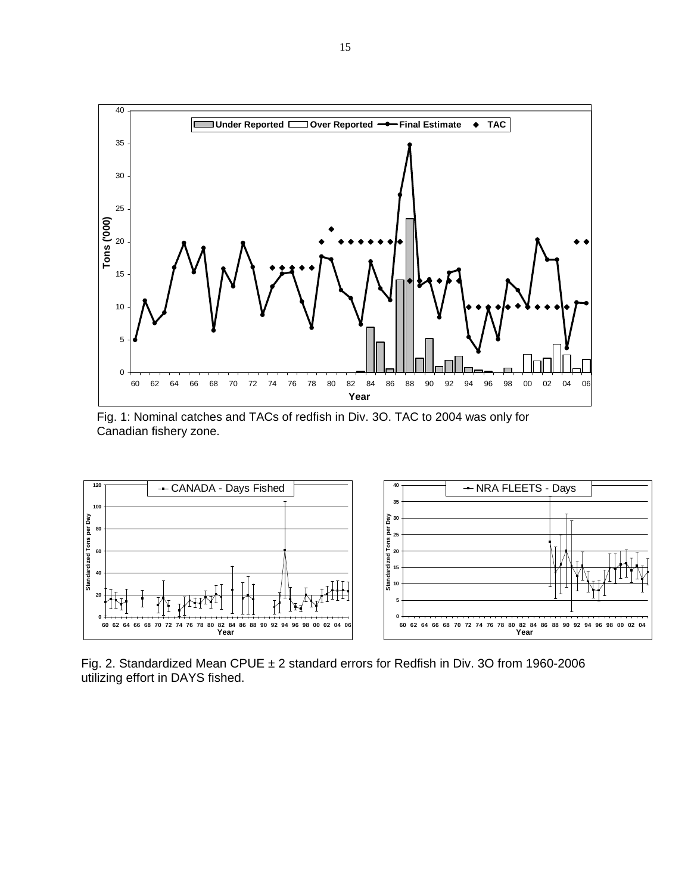

Fig. 1: Nominal catches and TACs of redfish in Div. 3O. TAC to 2004 was only for Canadian fishery zone.



Fig. 2. Standardized Mean CPUE ± 2 standard errors for Redfish in Div. 3O from 1960-2006 utilizing effort in DAYS fished.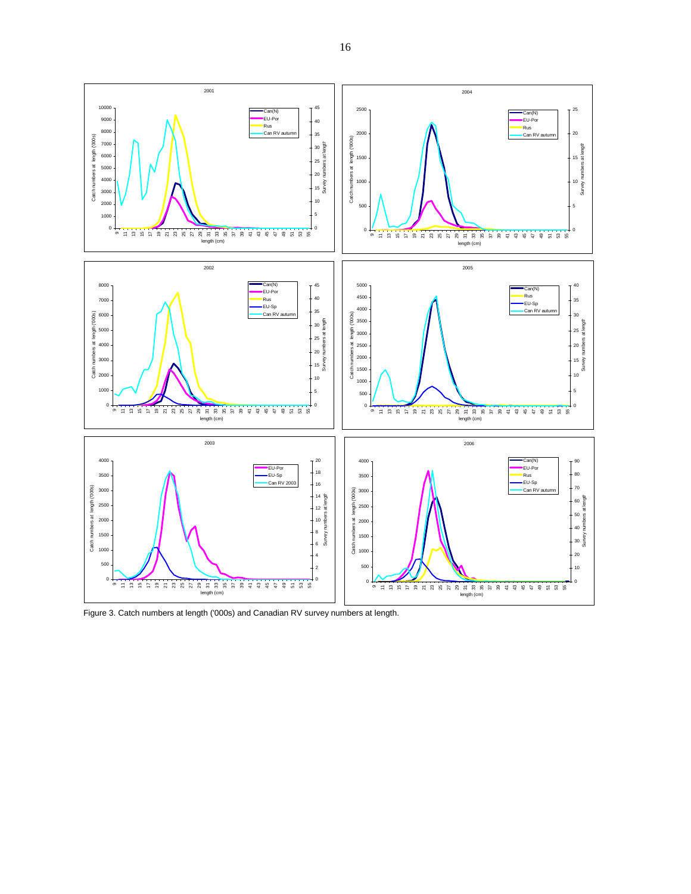

Figure 3. Catch numbers at length ('000s) and Canadian RV survey numbers at length.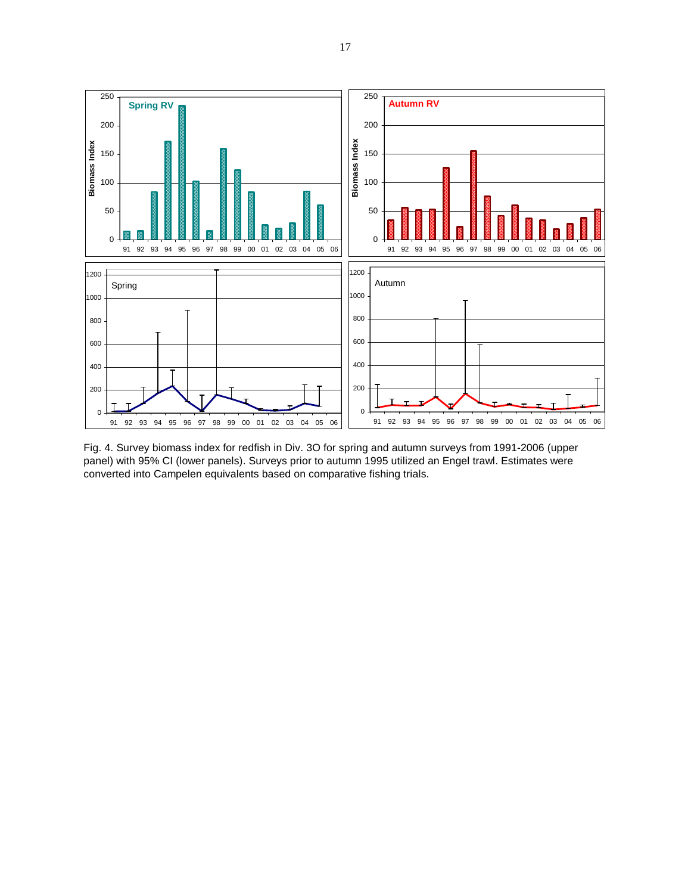

Fig. 4. Survey biomass index for redfish in Div. 3O for spring and autumn surveys from 1991-2006 (upper panel) with 95% CI (lower panels). Surveys prior to autumn 1995 utilized an Engel trawl. Estimates were converted into Campelen equivalents based on comparative fishing trials.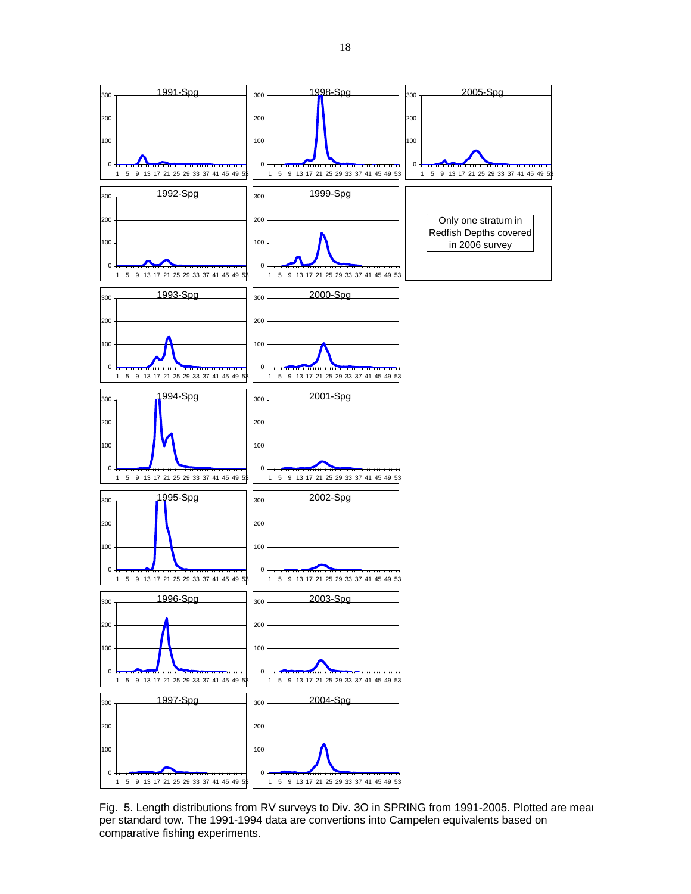

Fig. 5. Length distributions from RV surveys to Div. 3O in SPRING from 1991-2005. Plotted are mear per standard tow. The 1991-1994 data are convertions into Campelen equivalents based on comparative fishing experiments.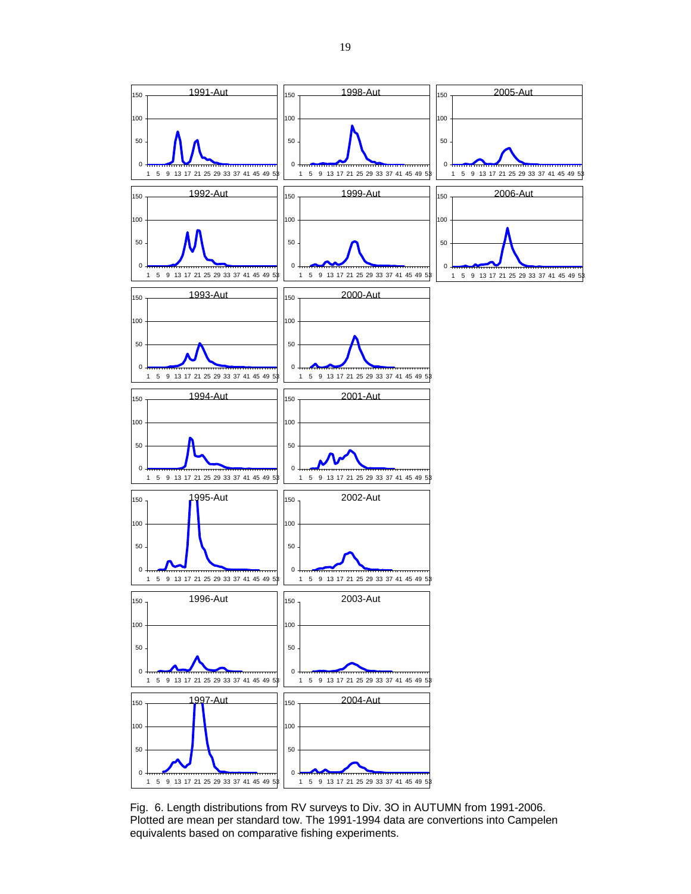

Fig. 6. Length distributions from RV surveys to Div. 3O in AUTUMN from 1991-2006. Plotted are mean per standard tow. The 1991-1994 data are convertions into Campelen equivalents based on comparative fishing experiments.